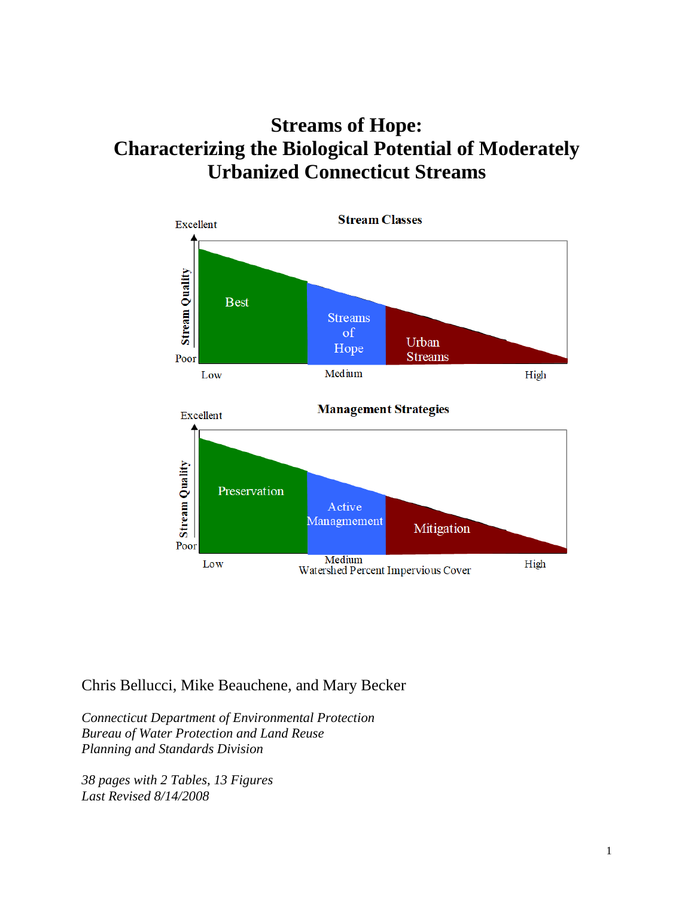# **Streams of Hope: Characterizing the Biological Potential of Moderately Urbanized Connecticut Streams**





Chris Bellucci, Mike Beauchene, and Mary Becker

*Connecticut Department of Environmental Protection Bureau of Water Protection and Land Reuse Planning and Standards Division*

*38 pages with 2 Tables, 13 Figures Last Revised 8/14/2008*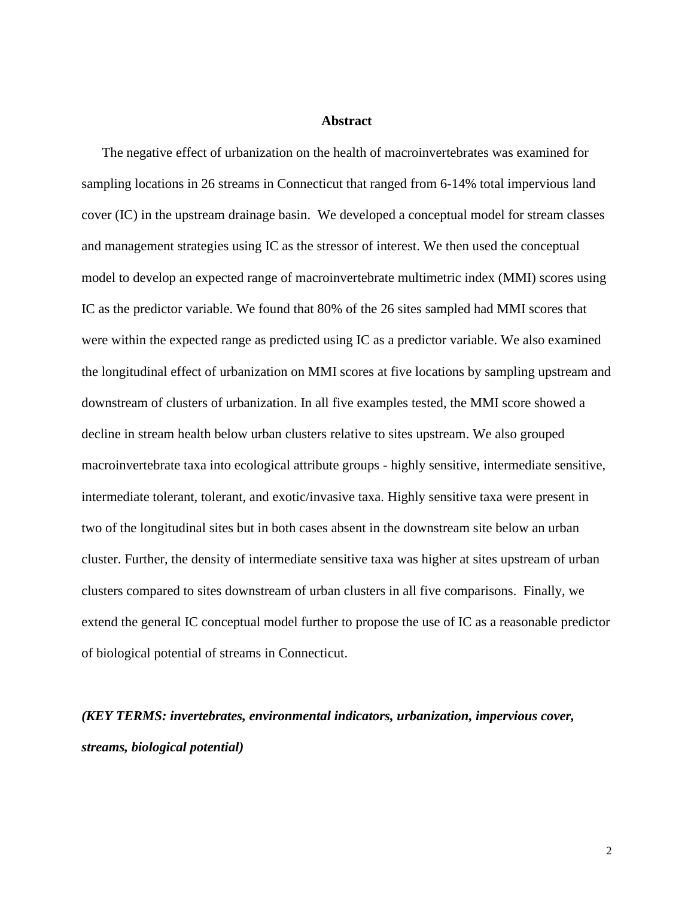# **Abstract**

The negative effect of urbanization on the health of macroinvertebrates was examined for sampling locations in 26 streams in Connecticut that ranged from 6-14% total impervious land cover (IC) in the upstream drainage basin. We developed a conceptual model for stream classes and management strategies using IC as the stressor of interest. We then used the conceptual model to develop an expected range of macroinvertebrate multimetric index (MMI) scores using IC as the predictor variable. We found that 80% of the 26 sites sampled had MMI scores that were within the expected range as predicted using IC as a predictor variable. We also examined the longitudinal effect of urbanization on MMI scores at five locations by sampling upstream and downstream of clusters of urbanization. In all five examples tested, the MMI score showed a decline in stream health below urban clusters relative to sites upstream. We also grouped macroinvertebrate taxa into ecological attribute groups - highly sensitive, intermediate sensitive, intermediate tolerant, tolerant, and exotic/invasive taxa. Highly sensitive taxa were present in two of the longitudinal sites but in both cases absent in the downstream site below an urban cluster. Further, the density of intermediate sensitive taxa was higher at sites upstream of urban clusters compared to sites downstream of urban clusters in all five comparisons. Finally, we extend the general IC conceptual model further to propose the use of IC as a reasonable predictor of biological potential of streams in Connecticut.

*(KEY TERMS: invertebrates, environmental indicators, urbanization, impervious cover, streams, biological potential)*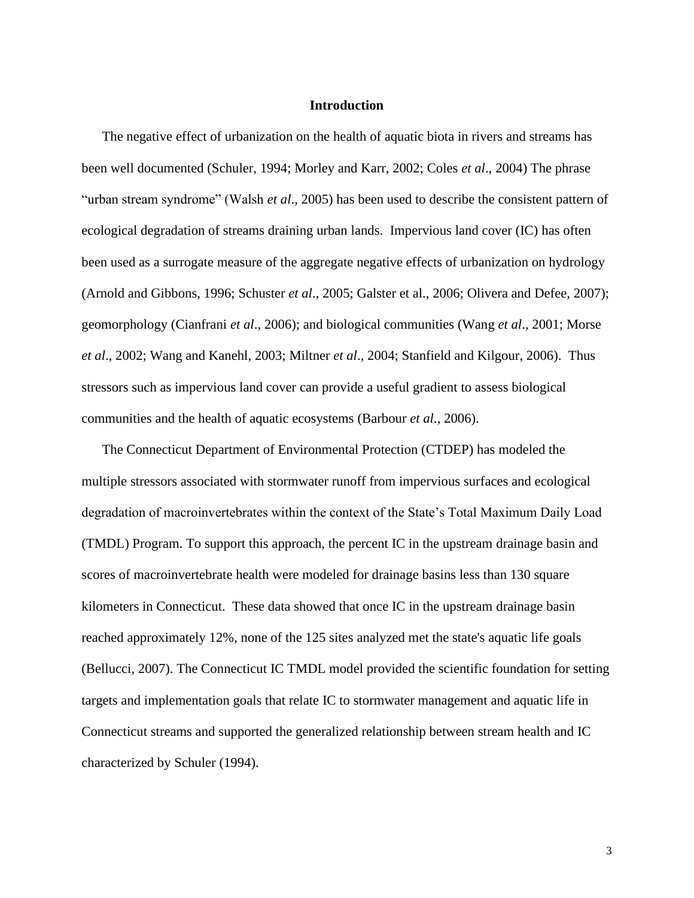#### **Introduction**

The negative effect of urbanization on the health of aquatic biota in rivers and streams has been well documented (Schuler, 1994; Morley and Karr, 2002; Coles *et al*., 2004) The phrase "urban stream syndrome" (Walsh *et al*., 2005) has been used to describe the consistent pattern of ecological degradation of streams draining urban lands. Impervious land cover (IC) has often been used as a surrogate measure of the aggregate negative effects of urbanization on hydrology (Arnold and Gibbons, 1996; Schuster *et al*., 2005; Galster et al., 2006; Olivera and Defee, 2007); geomorphology (Cianfrani *et al*., 2006); and biological communities (Wang *et al*., 2001; Morse *et al*., 2002; Wang and Kanehl, 2003; Miltner *et al*., 2004; Stanfield and Kilgour, 2006). Thus stressors such as impervious land cover can provide a useful gradient to assess biological communities and the health of aquatic ecosystems (Barbour *et al*., 2006).

The Connecticut Department of Environmental Protection (CTDEP) has modeled the multiple stressors associated with stormwater runoff from impervious surfaces and ecological degradation of macroinvertebrates within the context of the State's Total Maximum Daily Load (TMDL) Program. To support this approach, the percent IC in the upstream drainage basin and scores of macroinvertebrate health were modeled for drainage basins less than 130 square kilometers in Connecticut. These data showed that once IC in the upstream drainage basin reached approximately 12%, none of the 125 sites analyzed met the state's aquatic life goals (Bellucci, 2007). The Connecticut IC TMDL model provided the scientific foundation for setting targets and implementation goals that relate IC to stormwater management and aquatic life in Connecticut streams and supported the generalized relationship between stream health and IC characterized by Schuler (1994).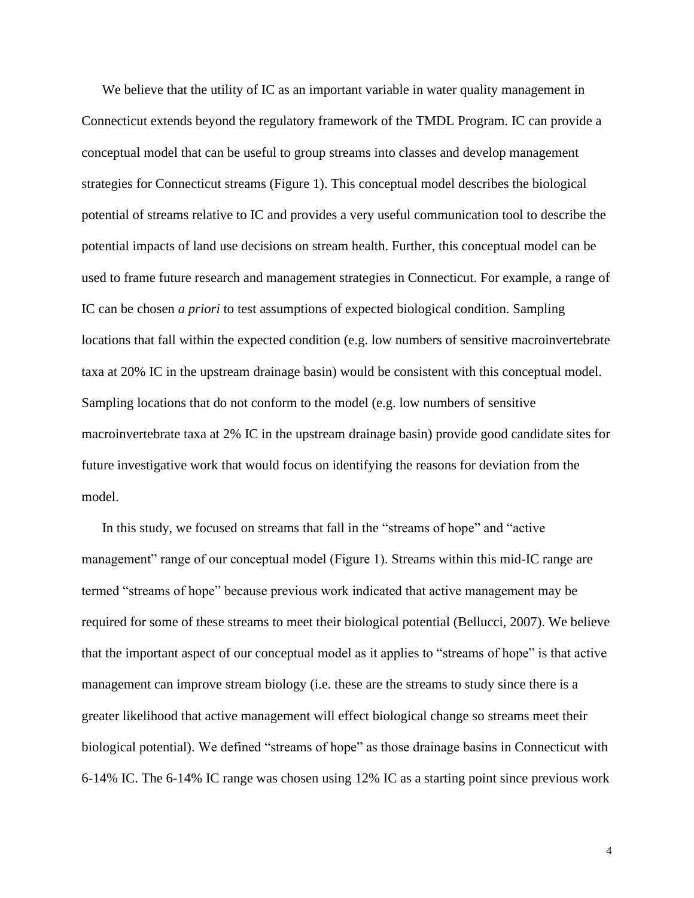We believe that the utility of IC as an important variable in water quality management in Connecticut extends beyond the regulatory framework of the TMDL Program. IC can provide a conceptual model that can be useful to group streams into classes and develop management strategies for Connecticut streams (Figure 1). This conceptual model describes the biological potential of streams relative to IC and provides a very useful communication tool to describe the potential impacts of land use decisions on stream health. Further, this conceptual model can be used to frame future research and management strategies in Connecticut. For example, a range of IC can be chosen *a priori* to test assumptions of expected biological condition. Sampling locations that fall within the expected condition (e.g. low numbers of sensitive macroinvertebrate taxa at 20% IC in the upstream drainage basin) would be consistent with this conceptual model. Sampling locations that do not conform to the model (e.g. low numbers of sensitive macroinvertebrate taxa at 2% IC in the upstream drainage basin) provide good candidate sites for future investigative work that would focus on identifying the reasons for deviation from the model.

In this study, we focused on streams that fall in the "streams of hope" and "active management" range of our conceptual model (Figure 1). Streams within this mid-IC range are termed "streams of hope" because previous work indicated that active management may be required for some of these streams to meet their biological potential (Bellucci, 2007). We believe that the important aspect of our conceptual model as it applies to "streams of hope" is that active management can improve stream biology (i.e. these are the streams to study since there is a greater likelihood that active management will effect biological change so streams meet their biological potential). We defined "streams of hope" as those drainage basins in Connecticut with 6-14% IC. The 6-14% IC range was chosen using 12% IC as a starting point since previous work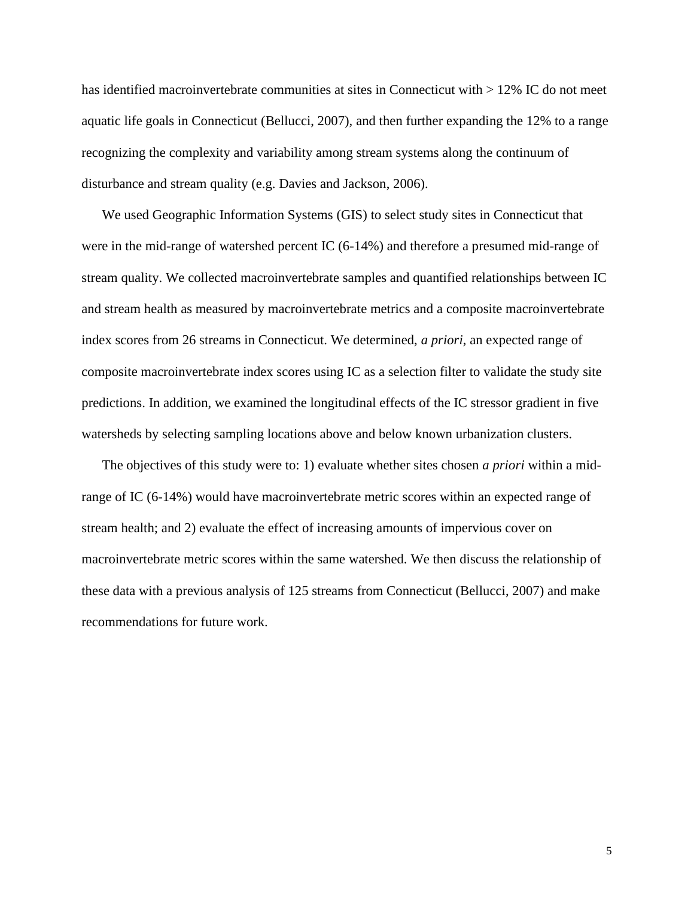has identified macroinvertebrate communities at sites in Connecticut with  $> 12\%$  IC do not meet aquatic life goals in Connecticut (Bellucci, 2007), and then further expanding the 12% to a range recognizing the complexity and variability among stream systems along the continuum of disturbance and stream quality (e.g. Davies and Jackson, 2006).

We used Geographic Information Systems (GIS) to select study sites in Connecticut that were in the mid-range of watershed percent IC (6-14%) and therefore a presumed mid-range of stream quality. We collected macroinvertebrate samples and quantified relationships between IC and stream health as measured by macroinvertebrate metrics and a composite macroinvertebrate index scores from 26 streams in Connecticut. We determined, *a priori*, an expected range of composite macroinvertebrate index scores using IC as a selection filter to validate the study site predictions. In addition, we examined the longitudinal effects of the IC stressor gradient in five watersheds by selecting sampling locations above and below known urbanization clusters.

The objectives of this study were to: 1) evaluate whether sites chosen *a priori* within a midrange of IC (6-14%) would have macroinvertebrate metric scores within an expected range of stream health; and 2) evaluate the effect of increasing amounts of impervious cover on macroinvertebrate metric scores within the same watershed. We then discuss the relationship of these data with a previous analysis of 125 streams from Connecticut (Bellucci, 2007) and make recommendations for future work.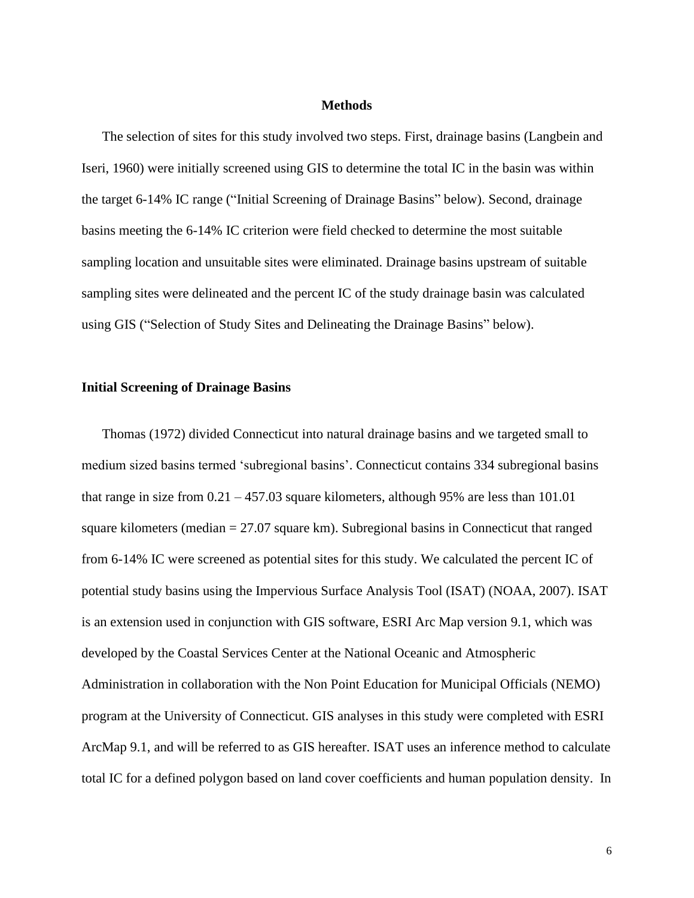#### **Methods**

The selection of sites for this study involved two steps. First, drainage basins (Langbein and Iseri, 1960) were initially screened using GIS to determine the total IC in the basin was within the target 6-14% IC range ("Initial Screening of Drainage Basins" below). Second, drainage basins meeting the 6-14% IC criterion were field checked to determine the most suitable sampling location and unsuitable sites were eliminated. Drainage basins upstream of suitable sampling sites were delineated and the percent IC of the study drainage basin was calculated using GIS ("Selection of Study Sites and Delineating the Drainage Basins" below).

#### **Initial Screening of Drainage Basins**

Thomas (1972) divided Connecticut into natural drainage basins and we targeted small to medium sized basins termed 'subregional basins'. Connecticut contains 334 subregional basins that range in size from  $0.21 - 457.03$  square kilometers, although 95% are less than 101.01 square kilometers (median  $= 27.07$  square km). Subregional basins in Connecticut that ranged from 6-14% IC were screened as potential sites for this study. We calculated the percent IC of potential study basins using the Impervious Surface Analysis Tool (ISAT) (NOAA, 2007). ISAT is an extension used in conjunction with GIS software, ESRI Arc Map version 9.1, which was developed by the Coastal Services Center at the National Oceanic and Atmospheric Administration in collaboration with the Non Point Education for Municipal Officials (NEMO) program at the University of Connecticut. GIS analyses in this study were completed with ESRI ArcMap 9.1, and will be referred to as GIS hereafter. ISAT uses an inference method to calculate total IC for a defined polygon based on land cover coefficients and human population density. In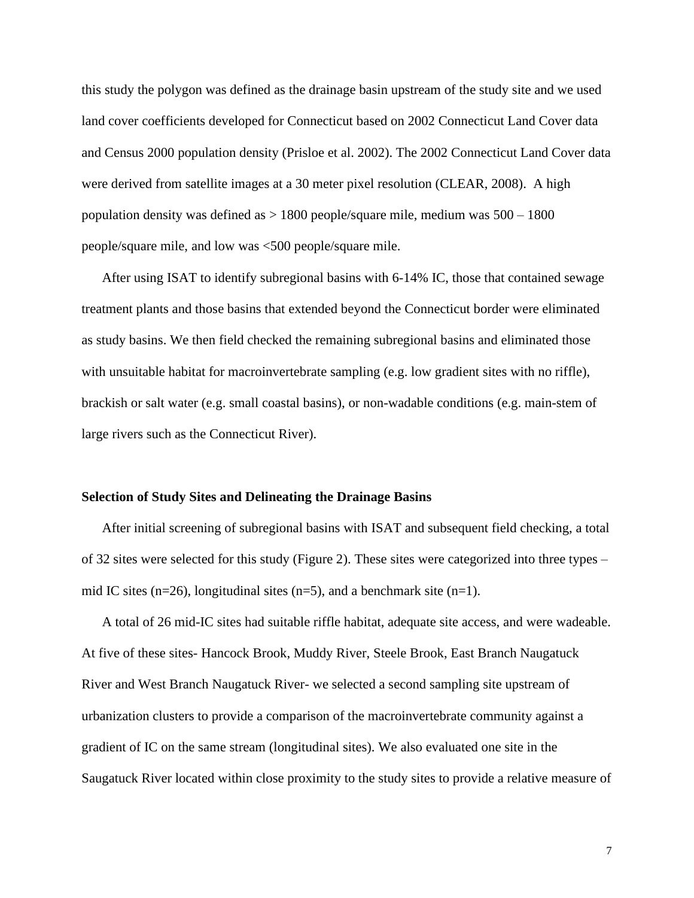this study the polygon was defined as the drainage basin upstream of the study site and we used land cover coefficients developed for Connecticut based on 2002 Connecticut Land Cover data and Census 2000 population density (Prisloe et al. 2002). The 2002 Connecticut Land Cover data were derived from satellite images at a 30 meter pixel resolution (CLEAR, 2008). A high population density was defined as > 1800 people/square mile, medium was 500 – 1800 people/square mile, and low was <500 people/square mile.

After using ISAT to identify subregional basins with 6-14% IC, those that contained sewage treatment plants and those basins that extended beyond the Connecticut border were eliminated as study basins. We then field checked the remaining subregional basins and eliminated those with unsuitable habitat for macroinvertebrate sampling (e.g. low gradient sites with no riffle), brackish or salt water (e.g. small coastal basins), or non-wadable conditions (e.g. main-stem of large rivers such as the Connecticut River).

#### **Selection of Study Sites and Delineating the Drainage Basins**

After initial screening of subregional basins with ISAT and subsequent field checking, a total of 32 sites were selected for this study (Figure 2). These sites were categorized into three types – mid IC sites (n=26), longitudinal sites (n=5), and a benchmark site (n=1).

A total of 26 mid-IC sites had suitable riffle habitat, adequate site access, and were wadeable. At five of these sites- Hancock Brook, Muddy River, Steele Brook, East Branch Naugatuck River and West Branch Naugatuck River- we selected a second sampling site upstream of urbanization clusters to provide a comparison of the macroinvertebrate community against a gradient of IC on the same stream (longitudinal sites). We also evaluated one site in the Saugatuck River located within close proximity to the study sites to provide a relative measure of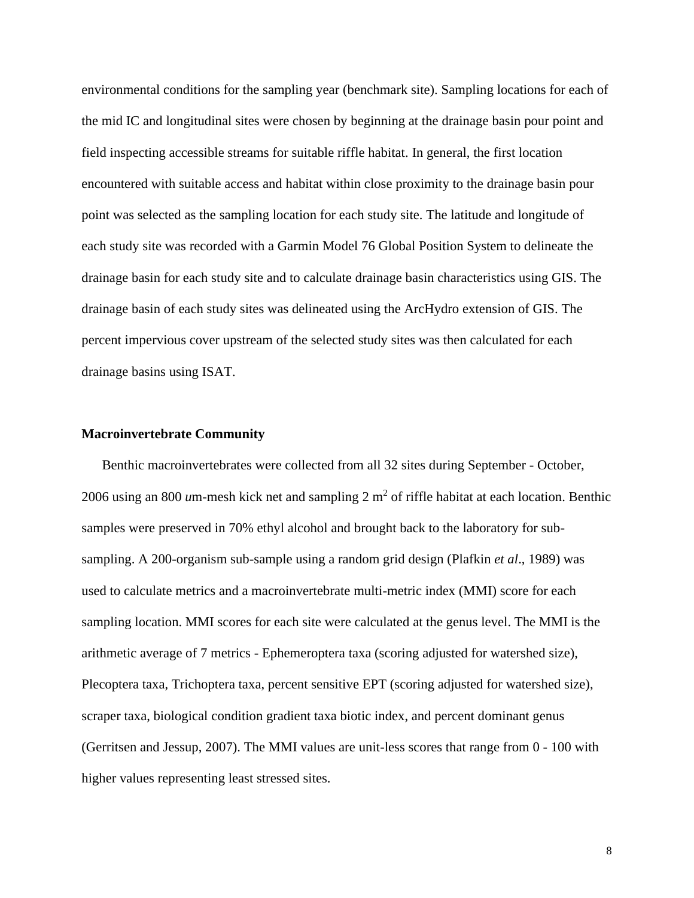environmental conditions for the sampling year (benchmark site). Sampling locations for each of the mid IC and longitudinal sites were chosen by beginning at the drainage basin pour point and field inspecting accessible streams for suitable riffle habitat. In general, the first location encountered with suitable access and habitat within close proximity to the drainage basin pour point was selected as the sampling location for each study site. The latitude and longitude of each study site was recorded with a Garmin Model 76 Global Position System to delineate the drainage basin for each study site and to calculate drainage basin characteristics using GIS. The drainage basin of each study sites was delineated using the ArcHydro extension of GIS. The percent impervious cover upstream of the selected study sites was then calculated for each drainage basins using ISAT.

# **Macroinvertebrate Community**

Benthic macroinvertebrates were collected from all 32 sites during September - October, 2006 using an 800  $\mu$ m-mesh kick net and sampling  $2 \text{ m}^2$  of riffle habitat at each location. Benthic samples were preserved in 70% ethyl alcohol and brought back to the laboratory for subsampling. A 200-organism sub-sample using a random grid design (Plafkin *et al*., 1989) was used to calculate metrics and a macroinvertebrate multi-metric index (MMI) score for each sampling location. MMI scores for each site were calculated at the genus level. The MMI is the arithmetic average of 7 metrics - Ephemeroptera taxa (scoring adjusted for watershed size), Plecoptera taxa, Trichoptera taxa, percent sensitive EPT (scoring adjusted for watershed size), scraper taxa, biological condition gradient taxa biotic index, and percent dominant genus (Gerritsen and Jessup, 2007). The MMI values are unit-less scores that range from 0 - 100 with higher values representing least stressed sites.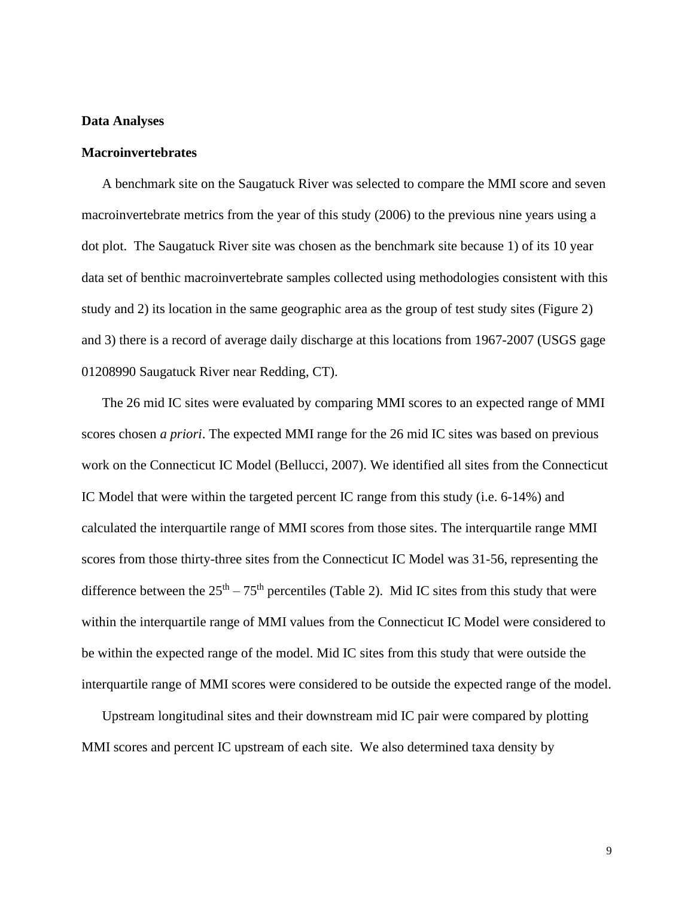# **Data Analyses**

### **Macroinvertebrates**

A benchmark site on the Saugatuck River was selected to compare the MMI score and seven macroinvertebrate metrics from the year of this study (2006) to the previous nine years using a dot plot. The Saugatuck River site was chosen as the benchmark site because 1) of its 10 year data set of benthic macroinvertebrate samples collected using methodologies consistent with this study and 2) its location in the same geographic area as the group of test study sites (Figure 2) and 3) there is a record of average daily discharge at this locations from 1967-2007 (USGS gage 01208990 Saugatuck River near Redding, CT).

The 26 mid IC sites were evaluated by comparing MMI scores to an expected range of MMI scores chosen *a priori*. The expected MMI range for the 26 mid IC sites was based on previous work on the Connecticut IC Model (Bellucci, 2007). We identified all sites from the Connecticut IC Model that were within the targeted percent IC range from this study (i.e. 6-14%) and calculated the interquartile range of MMI scores from those sites. The interquartile range MMI scores from those thirty-three sites from the Connecticut IC Model was 31-56, representing the difference between the  $25<sup>th</sup> - 75<sup>th</sup>$  percentiles (Table 2). Mid IC sites from this study that were within the interquartile range of MMI values from the Connecticut IC Model were considered to be within the expected range of the model. Mid IC sites from this study that were outside the interquartile range of MMI scores were considered to be outside the expected range of the model.

Upstream longitudinal sites and their downstream mid IC pair were compared by plotting MMI scores and percent IC upstream of each site. We also determined taxa density by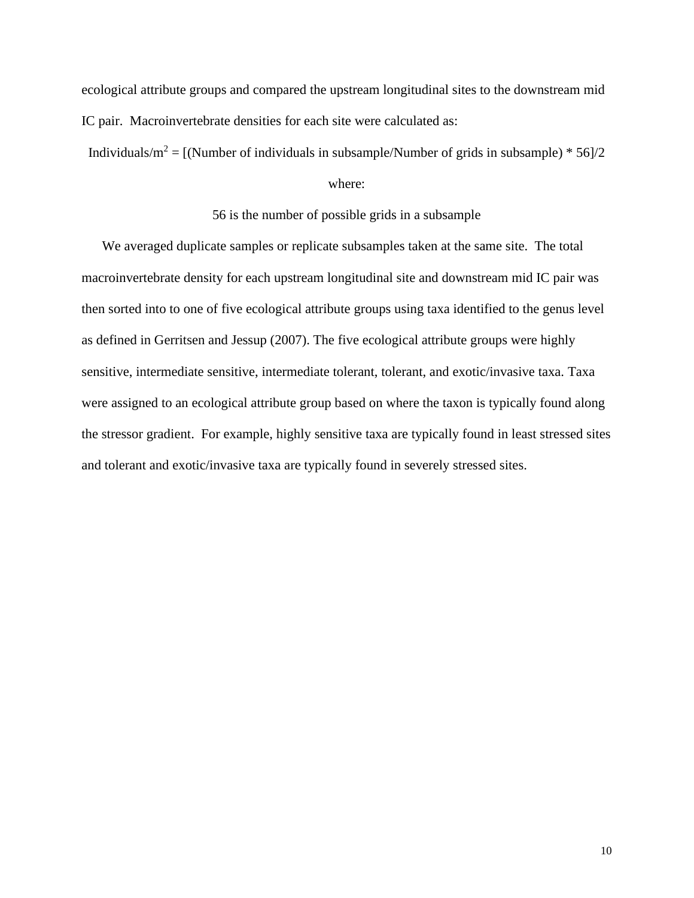ecological attribute groups and compared the upstream longitudinal sites to the downstream mid IC pair. Macroinvertebrate densities for each site were calculated as:

Individuals/m<sup>2</sup> = [(Number of individuals in subsample/Number of grids in subsample) \* 56]/2

### where:

### 56 is the number of possible grids in a subsample

We averaged duplicate samples or replicate subsamples taken at the same site. The total macroinvertebrate density for each upstream longitudinal site and downstream mid IC pair was then sorted into to one of five ecological attribute groups using taxa identified to the genus level as defined in Gerritsen and Jessup (2007). The five ecological attribute groups were highly sensitive, intermediate sensitive, intermediate tolerant, tolerant, and exotic/invasive taxa. Taxa were assigned to an ecological attribute group based on where the taxon is typically found along the stressor gradient. For example, highly sensitive taxa are typically found in least stressed sites and tolerant and exotic/invasive taxa are typically found in severely stressed sites.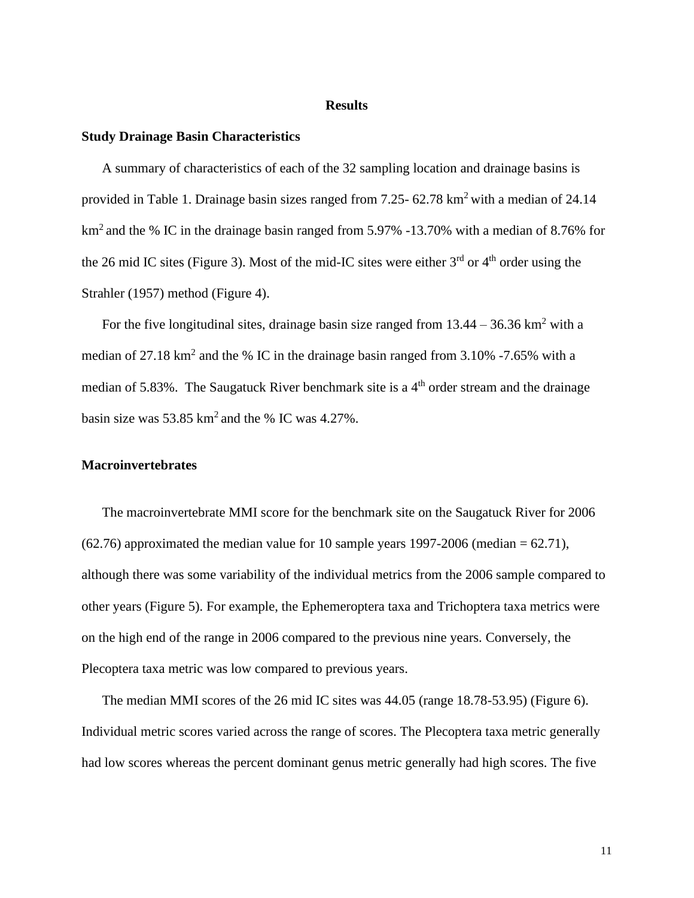#### **Results**

#### **Study Drainage Basin Characteristics**

A summary of characteristics of each of the 32 sampling location and drainage basins is provided in Table 1. Drainage basin sizes ranged from 7.25- 62.78 km<sup>2</sup> with a median of 24.14 km<sup>2</sup> and the % IC in the drainage basin ranged from 5.97% -13.70% with a median of 8.76% for the 26 mid IC sites (Figure 3). Most of the mid-IC sites were either  $3<sup>rd</sup>$  or  $4<sup>th</sup>$  order using the Strahler (1957) method (Figure 4).

For the five longitudinal sites, drainage basin size ranged from  $13.44 - 36.36 \text{ km}^2$  with a median of 27.18 km<sup>2</sup> and the % IC in the drainage basin ranged from 3.10% -7.65% with a median of 5.83%. The Saugatuck River benchmark site is a 4<sup>th</sup> order stream and the drainage basin size was  $53.85 \text{ km}^2$  and the % IC was  $4.27\%$ .

# **Macroinvertebrates**

The macroinvertebrate MMI score for the benchmark site on the Saugatuck River for 2006  $(62.76)$  approximated the median value for 10 sample years 1997-2006 (median = 62.71), although there was some variability of the individual metrics from the 2006 sample compared to other years (Figure 5). For example, the Ephemeroptera taxa and Trichoptera taxa metrics were on the high end of the range in 2006 compared to the previous nine years. Conversely, the Plecoptera taxa metric was low compared to previous years.

The median MMI scores of the 26 mid IC sites was 44.05 (range 18.78-53.95) (Figure 6). Individual metric scores varied across the range of scores. The Plecoptera taxa metric generally had low scores whereas the percent dominant genus metric generally had high scores. The five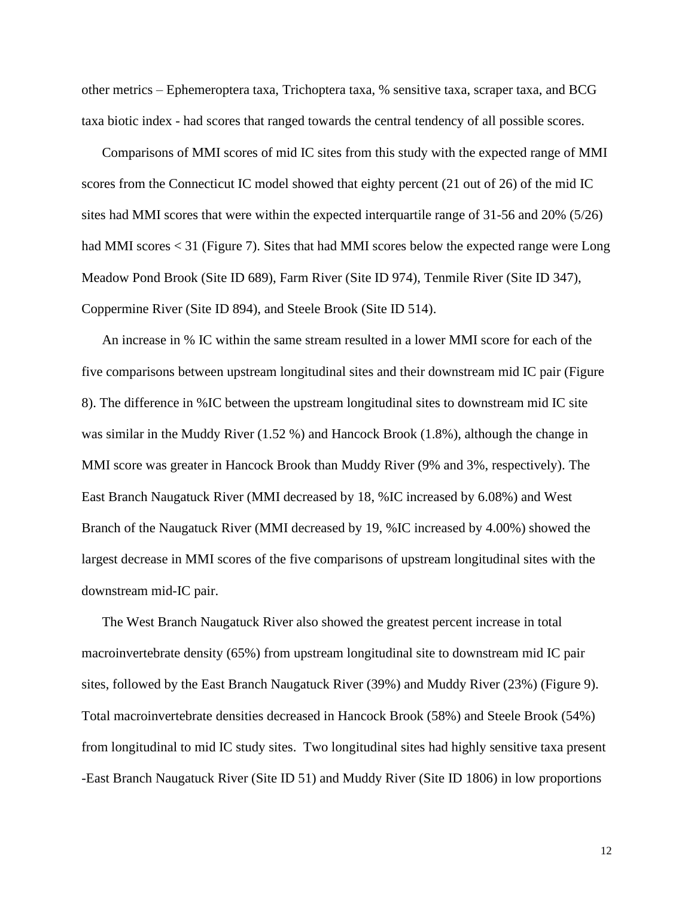other metrics – Ephemeroptera taxa, Trichoptera taxa, % sensitive taxa, scraper taxa, and BCG taxa biotic index - had scores that ranged towards the central tendency of all possible scores.

Comparisons of MMI scores of mid IC sites from this study with the expected range of MMI scores from the Connecticut IC model showed that eighty percent (21 out of 26) of the mid IC sites had MMI scores that were within the expected interquartile range of 31-56 and 20% (5/26) had MMI scores < 31 (Figure 7). Sites that had MMI scores below the expected range were Long Meadow Pond Brook (Site ID 689), Farm River (Site ID 974), Tenmile River (Site ID 347), Coppermine River (Site ID 894), and Steele Brook (Site ID 514).

An increase in % IC within the same stream resulted in a lower MMI score for each of the five comparisons between upstream longitudinal sites and their downstream mid IC pair (Figure 8). The difference in %IC between the upstream longitudinal sites to downstream mid IC site was similar in the Muddy River (1.52 %) and Hancock Brook (1.8%), although the change in MMI score was greater in Hancock Brook than Muddy River (9% and 3%, respectively). The East Branch Naugatuck River (MMI decreased by 18, %IC increased by 6.08%) and West Branch of the Naugatuck River (MMI decreased by 19, %IC increased by 4.00%) showed the largest decrease in MMI scores of the five comparisons of upstream longitudinal sites with the downstream mid-IC pair.

The West Branch Naugatuck River also showed the greatest percent increase in total macroinvertebrate density (65%) from upstream longitudinal site to downstream mid IC pair sites, followed by the East Branch Naugatuck River (39%) and Muddy River (23%) (Figure 9). Total macroinvertebrate densities decreased in Hancock Brook (58%) and Steele Brook (54%) from longitudinal to mid IC study sites. Two longitudinal sites had highly sensitive taxa present -East Branch Naugatuck River (Site ID 51) and Muddy River (Site ID 1806) in low proportions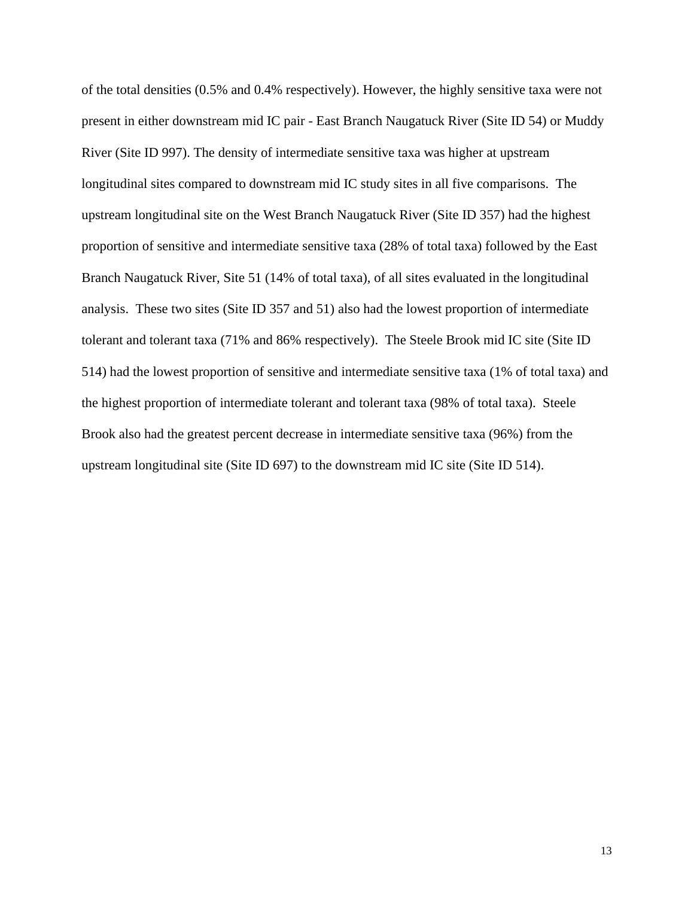of the total densities (0.5% and 0.4% respectively). However, the highly sensitive taxa were not present in either downstream mid IC pair - East Branch Naugatuck River (Site ID 54) or Muddy River (Site ID 997). The density of intermediate sensitive taxa was higher at upstream longitudinal sites compared to downstream mid IC study sites in all five comparisons. The upstream longitudinal site on the West Branch Naugatuck River (Site ID 357) had the highest proportion of sensitive and intermediate sensitive taxa (28% of total taxa) followed by the East Branch Naugatuck River, Site 51 (14% of total taxa), of all sites evaluated in the longitudinal analysis. These two sites (Site ID 357 and 51) also had the lowest proportion of intermediate tolerant and tolerant taxa (71% and 86% respectively). The Steele Brook mid IC site (Site ID 514) had the lowest proportion of sensitive and intermediate sensitive taxa (1% of total taxa) and the highest proportion of intermediate tolerant and tolerant taxa (98% of total taxa). Steele Brook also had the greatest percent decrease in intermediate sensitive taxa (96%) from the upstream longitudinal site (Site ID 697) to the downstream mid IC site (Site ID 514).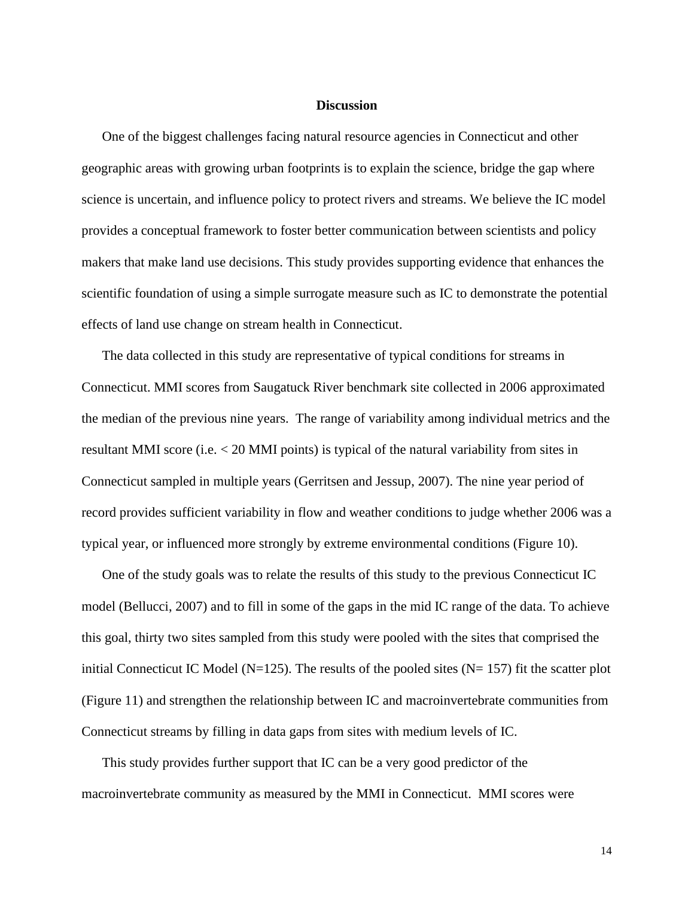#### **Discussion**

One of the biggest challenges facing natural resource agencies in Connecticut and other geographic areas with growing urban footprints is to explain the science, bridge the gap where science is uncertain, and influence policy to protect rivers and streams. We believe the IC model provides a conceptual framework to foster better communication between scientists and policy makers that make land use decisions. This study provides supporting evidence that enhances the scientific foundation of using a simple surrogate measure such as IC to demonstrate the potential effects of land use change on stream health in Connecticut.

The data collected in this study are representative of typical conditions for streams in Connecticut. MMI scores from Saugatuck River benchmark site collected in 2006 approximated the median of the previous nine years. The range of variability among individual metrics and the resultant MMI score (i.e. < 20 MMI points) is typical of the natural variability from sites in Connecticut sampled in multiple years (Gerritsen and Jessup, 2007). The nine year period of record provides sufficient variability in flow and weather conditions to judge whether 2006 was a typical year, or influenced more strongly by extreme environmental conditions (Figure 10).

One of the study goals was to relate the results of this study to the previous Connecticut IC model (Bellucci, 2007) and to fill in some of the gaps in the mid IC range of the data. To achieve this goal, thirty two sites sampled from this study were pooled with the sites that comprised the initial Connecticut IC Model ( $N=125$ ). The results of the pooled sites ( $N=157$ ) fit the scatter plot (Figure 11) and strengthen the relationship between IC and macroinvertebrate communities from Connecticut streams by filling in data gaps from sites with medium levels of IC.

This study provides further support that IC can be a very good predictor of the macroinvertebrate community as measured by the MMI in Connecticut. MMI scores were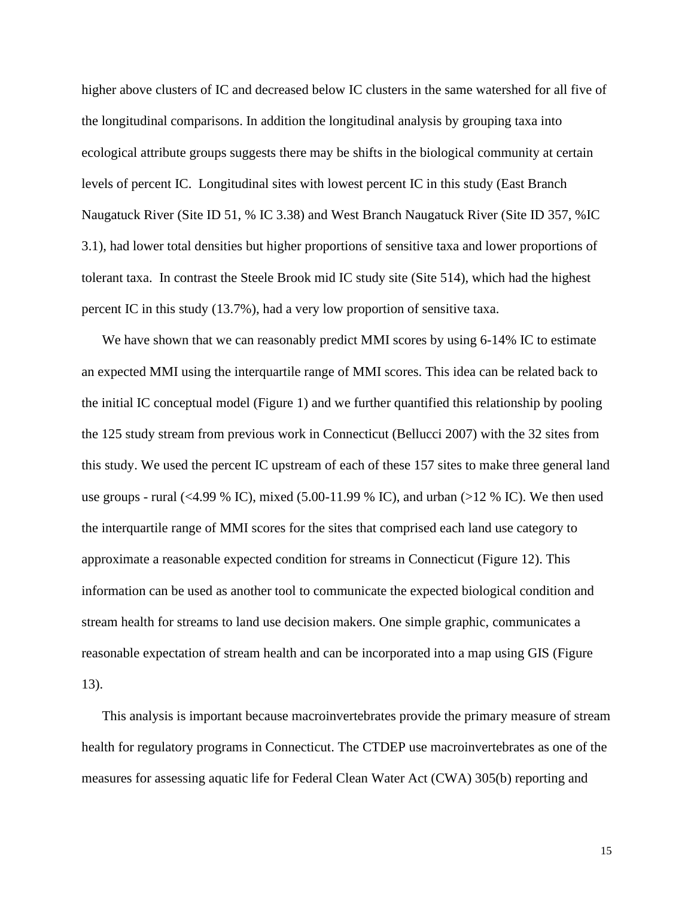higher above clusters of IC and decreased below IC clusters in the same watershed for all five of the longitudinal comparisons. In addition the longitudinal analysis by grouping taxa into ecological attribute groups suggests there may be shifts in the biological community at certain levels of percent IC. Longitudinal sites with lowest percent IC in this study (East Branch Naugatuck River (Site ID 51, % IC 3.38) and West Branch Naugatuck River (Site ID 357, %IC 3.1), had lower total densities but higher proportions of sensitive taxa and lower proportions of tolerant taxa. In contrast the Steele Brook mid IC study site (Site 514), which had the highest percent IC in this study (13.7%), had a very low proportion of sensitive taxa.

We have shown that we can reasonably predict MMI scores by using 6-14% IC to estimate an expected MMI using the interquartile range of MMI scores. This idea can be related back to the initial IC conceptual model (Figure 1) and we further quantified this relationship by pooling the 125 study stream from previous work in Connecticut (Bellucci 2007) with the 32 sites from this study. We used the percent IC upstream of each of these 157 sites to make three general land use groups - rural (<4.99 % IC), mixed (5.00-11.99 % IC), and urban (>12 % IC). We then used the interquartile range of MMI scores for the sites that comprised each land use category to approximate a reasonable expected condition for streams in Connecticut (Figure 12). This information can be used as another tool to communicate the expected biological condition and stream health for streams to land use decision makers. One simple graphic, communicates a reasonable expectation of stream health and can be incorporated into a map using GIS (Figure 13).

This analysis is important because macroinvertebrates provide the primary measure of stream health for regulatory programs in Connecticut. The CTDEP use macroinvertebrates as one of the measures for assessing aquatic life for Federal Clean Water Act (CWA) 305(b) reporting and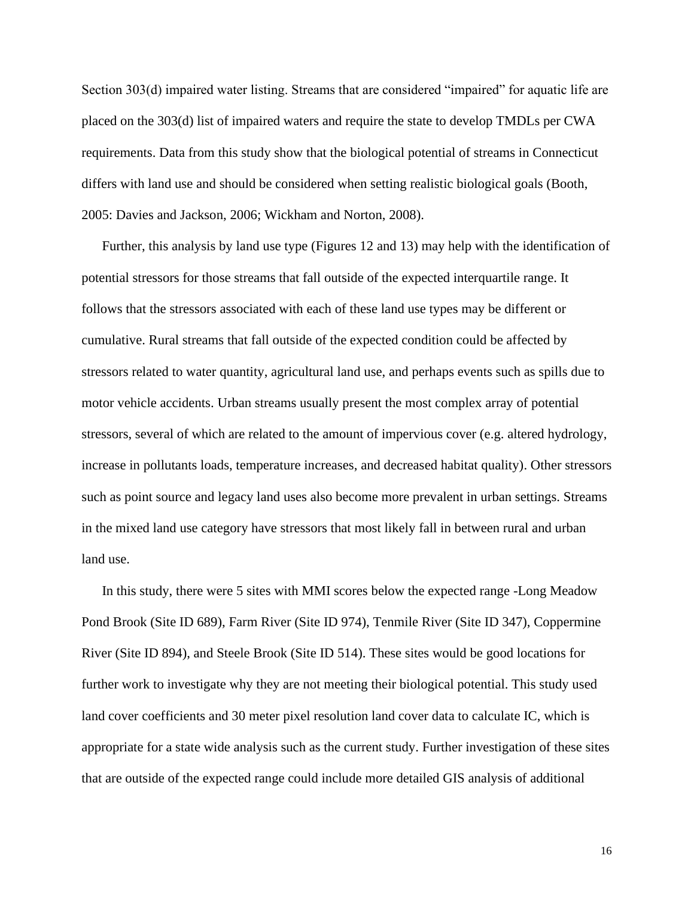Section 303(d) impaired water listing. Streams that are considered "impaired" for aquatic life are placed on the 303(d) list of impaired waters and require the state to develop TMDLs per CWA requirements. Data from this study show that the biological potential of streams in Connecticut differs with land use and should be considered when setting realistic biological goals (Booth, 2005: Davies and Jackson, 2006; Wickham and Norton, 2008).

Further, this analysis by land use type (Figures 12 and 13) may help with the identification of potential stressors for those streams that fall outside of the expected interquartile range. It follows that the stressors associated with each of these land use types may be different or cumulative. Rural streams that fall outside of the expected condition could be affected by stressors related to water quantity, agricultural land use, and perhaps events such as spills due to motor vehicle accidents. Urban streams usually present the most complex array of potential stressors, several of which are related to the amount of impervious cover (e.g. altered hydrology, increase in pollutants loads, temperature increases, and decreased habitat quality). Other stressors such as point source and legacy land uses also become more prevalent in urban settings. Streams in the mixed land use category have stressors that most likely fall in between rural and urban land use.

In this study, there were 5 sites with MMI scores below the expected range -Long Meadow Pond Brook (Site ID 689), Farm River (Site ID 974), Tenmile River (Site ID 347), Coppermine River (Site ID 894), and Steele Brook (Site ID 514). These sites would be good locations for further work to investigate why they are not meeting their biological potential. This study used land cover coefficients and 30 meter pixel resolution land cover data to calculate IC, which is appropriate for a state wide analysis such as the current study. Further investigation of these sites that are outside of the expected range could include more detailed GIS analysis of additional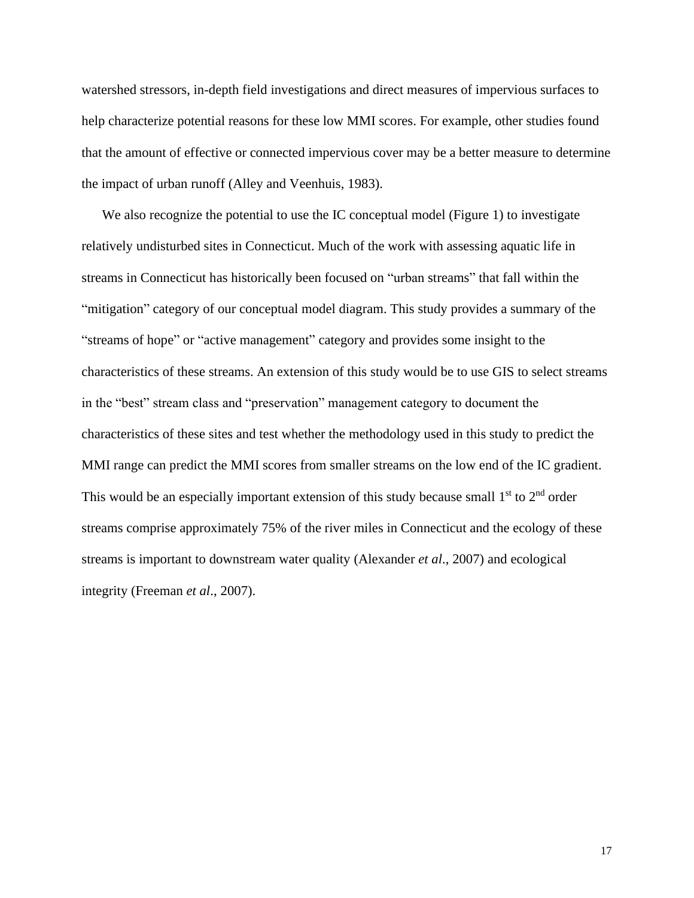watershed stressors, in-depth field investigations and direct measures of impervious surfaces to help characterize potential reasons for these low MMI scores. For example, other studies found that the amount of effective or connected impervious cover may be a better measure to determine the impact of urban runoff (Alley and Veenhuis, 1983).

We also recognize the potential to use the IC conceptual model (Figure 1) to investigate relatively undisturbed sites in Connecticut. Much of the work with assessing aquatic life in streams in Connecticut has historically been focused on "urban streams" that fall within the "mitigation" category of our conceptual model diagram. This study provides a summary of the "streams of hope" or "active management" category and provides some insight to the characteristics of these streams. An extension of this study would be to use GIS to select streams in the "best" stream class and "preservation" management category to document the characteristics of these sites and test whether the methodology used in this study to predict the MMI range can predict the MMI scores from smaller streams on the low end of the IC gradient. This would be an especially important extension of this study because small  $1<sup>st</sup>$  to  $2<sup>nd</sup>$  order streams comprise approximately 75% of the river miles in Connecticut and the ecology of these streams is important to downstream water quality (Alexander *et al*., 2007) and ecological integrity (Freeman *et al*., 2007).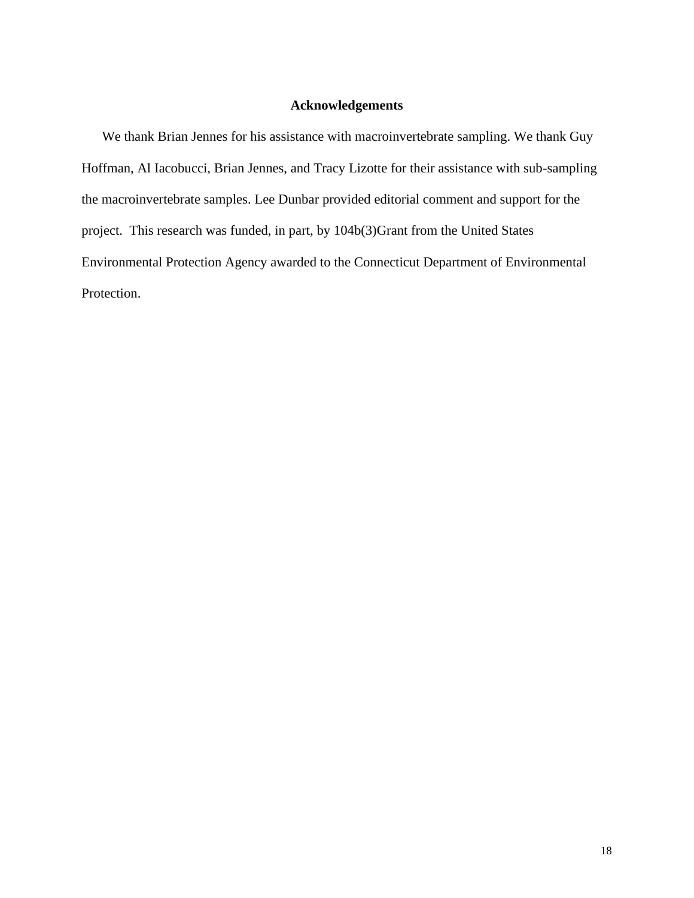# **Acknowledgements**

We thank Brian Jennes for his assistance with macroinvertebrate sampling. We thank Guy Hoffman, Al Iacobucci, Brian Jennes, and Tracy Lizotte for their assistance with sub-sampling the macroinvertebrate samples. Lee Dunbar provided editorial comment and support for the project. This research was funded, in part, by 104b(3)Grant from the United States Environmental Protection Agency awarded to the Connecticut Department of Environmental Protection.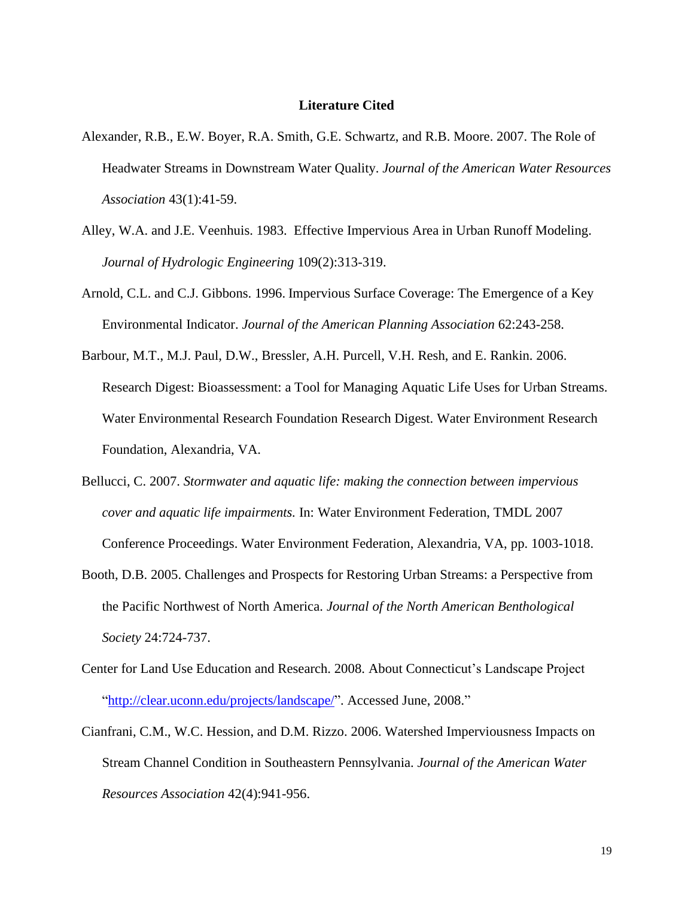#### **Literature Cited**

- Alexander, R.B., E.W. Boyer, R.A. Smith, G.E. Schwartz, and R.B. Moore. 2007. The Role of Headwater Streams in Downstream Water Quality. *Journal of the American Water Resources Association* 43(1):41-59.
- Alley, W.A. and J.E. Veenhuis. 1983. Effective Impervious Area in Urban Runoff Modeling. *Journal of Hydrologic Engineering* 109(2):313-319.
- Arnold, C.L. and C.J. Gibbons. 1996. Impervious Surface Coverage: The Emergence of a Key Environmental Indicator. *Journal of the American Planning Association* 62:243-258.
- Barbour, M.T., M.J. Paul, D.W., Bressler, A.H. Purcell, V.H. Resh, and E. Rankin. 2006. Research Digest: Bioassessment: a Tool for Managing Aquatic Life Uses for Urban Streams. Water Environmental Research Foundation Research Digest. Water Environment Research Foundation, Alexandria, VA.
- Bellucci, C. 2007. *Stormwater and aquatic life: making the connection between impervious cover and aquatic life impairments.* In: Water Environment Federation, TMDL 2007 Conference Proceedings. Water Environment Federation, Alexandria, VA, pp. 1003-1018.
- Booth, D.B. 2005. Challenges and Prospects for Restoring Urban Streams: a Perspective from the Pacific Northwest of North America. *Journal of the North American Benthological Society* 24:724-737.
- Center for Land Use Education and Research. 2008. About Connecticut's Landscape Project ["http://clear.uconn.edu/projects/landscape/"](http://clear.uconn.edu/projects/landscape/). Accessed June, 2008."
- Cianfrani, C.M., W.C. Hession, and D.M. Rizzo. 2006. Watershed Imperviousness Impacts on Stream Channel Condition in Southeastern Pennsylvania. *Journal of the American Water Resources Association* 42(4):941-956.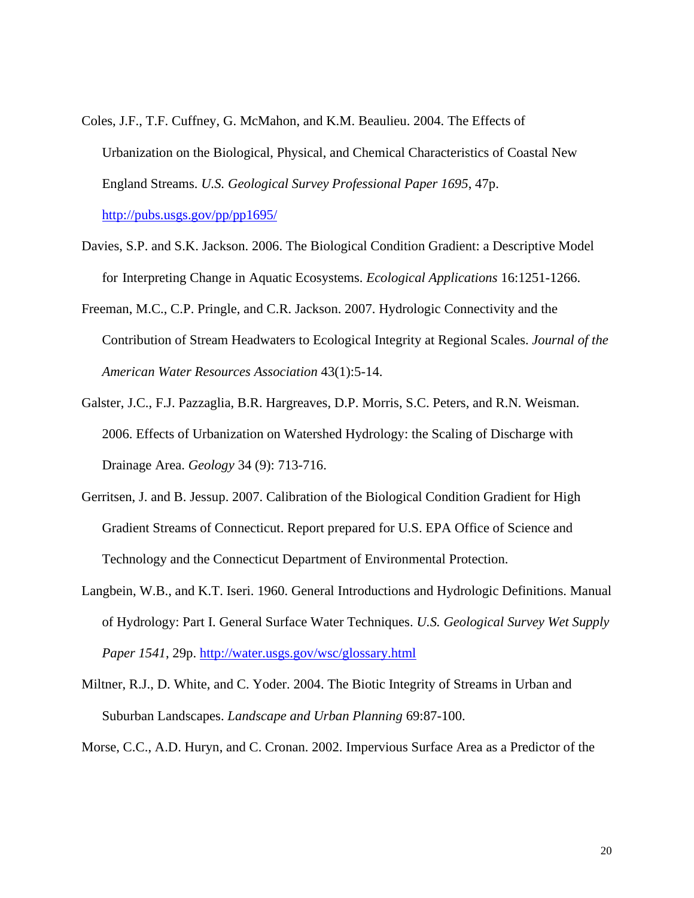- Coles, J.F., T.F. Cuffney, G. McMahon, and K.M. Beaulieu. 2004. The Effects of Urbanization on the Biological, Physical, and Chemical Characteristics of Coastal New England Streams. *U.S. Geological Survey Professional Paper 1695*, 47p. <http://pubs.usgs.gov/pp/pp1695/>
- Davies, S.P. and S.K. Jackson. 2006. The Biological Condition Gradient: a Descriptive Model for Interpreting Change in Aquatic Ecosystems. *Ecological Applications* 16:1251-1266.
- Freeman, M.C., C.P. Pringle, and C.R. Jackson. 2007. Hydrologic Connectivity and the Contribution of Stream Headwaters to Ecological Integrity at Regional Scales. *Journal of the American Water Resources Association* 43(1):5-14.
- Galster, J.C., F.J. Pazzaglia, B.R. Hargreaves, D.P. Morris, S.C. Peters, and R.N. Weisman. 2006. Effects of Urbanization on Watershed Hydrology: the Scaling of Discharge with Drainage Area. *Geology* 34 (9): 713-716.
- Gerritsen, J. and B. Jessup. 2007. Calibration of the Biological Condition Gradient for High Gradient Streams of Connecticut. Report prepared for U.S. EPA Office of Science and Technology and the Connecticut Department of Environmental Protection.
- Langbein, W.B., and K.T. Iseri. 1960. General Introductions and Hydrologic Definitions. Manual of Hydrology: Part I. General Surface Water Techniques. *U.S. Geological Survey Wet Supply Paper 1541*, 29p.<http://water.usgs.gov/wsc/glossary.html>
- Miltner, R.J., D. White, and C. Yoder. 2004. The Biotic Integrity of Streams in Urban and Suburban Landscapes. *Landscape and Urban Planning* 69:87-100.
- Morse, C.C., A.D. Huryn, and C. Cronan. 2002. Impervious Surface Area as a Predictor of the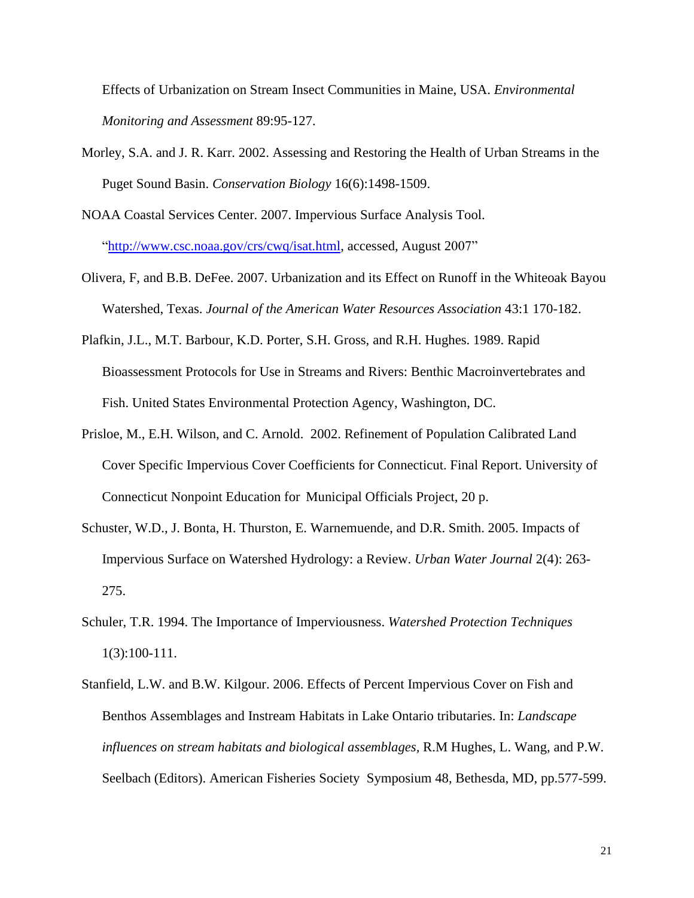Effects of Urbanization on Stream Insect Communities in Maine, USA. *Environmental Monitoring and Assessment* 89:95-127.

- Morley, S.A. and J. R. Karr. 2002. Assessing and Restoring the Health of Urban Streams in the Puget Sound Basin. *Conservation Biology* 16(6):1498-1509.
- NOAA Coastal Services Center. 2007. Impervious Surface Analysis Tool. ["http://www.csc.noaa.gov/crs/cwq/isat.html,](http://www.csc.noaa.gov/crs/cwq/isat.html) accessed, August 2007"
- Olivera, F, and B.B. DeFee. 2007. Urbanization and its Effect on Runoff in the Whiteoak Bayou Watershed, Texas. *Journal of the American Water Resources Association* 43:1 170-182.
- Plafkin, J.L., M.T. Barbour, K.D. Porter, S.H. Gross, and R.H. Hughes. 1989. Rapid Bioassessment Protocols for Use in Streams and Rivers: Benthic Macroinvertebrates and Fish. United States Environmental Protection Agency, Washington, DC.
- Prisloe, M., E.H. Wilson, and C. Arnold. 2002. Refinement of Population Calibrated Land Cover Specific Impervious Cover Coefficients for Connecticut. Final Report. University of Connecticut Nonpoint Education for Municipal Officials Project, 20 p.
- Schuster, W.D., J. Bonta, H. Thurston, E. Warnemuende, and D.R. Smith. 2005. Impacts of Impervious Surface on Watershed Hydrology: a Review. *Urban Water Journal* 2(4): 263- 275.
- Schuler, T.R. 1994. The Importance of Imperviousness. *Watershed Protection Techniques* 1(3):100-111.
- Stanfield, L.W. and B.W. Kilgour. 2006. Effects of Percent Impervious Cover on Fish and Benthos Assemblages and Instream Habitats in Lake Ontario tributaries. In: *Landscape influences on stream habitats and biological assemblages,* R.M Hughes, L. Wang, and P.W. Seelbach (Editors). American Fisheries Society Symposium 48, Bethesda, MD, pp.577-599.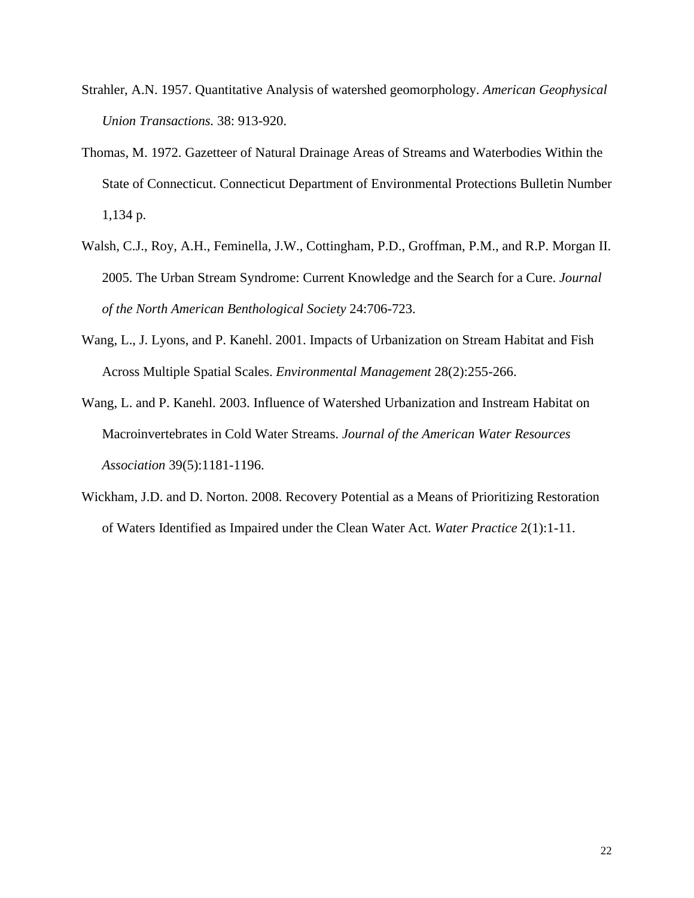- Strahler, A.N. 1957. Quantitative Analysis of watershed geomorphology. *American Geophysical Union Transactions.* 38: 913-920.
- Thomas, M. 1972. Gazetteer of Natural Drainage Areas of Streams and Waterbodies Within the State of Connecticut. Connecticut Department of Environmental Protections Bulletin Number 1,134 p.
- Walsh, C.J., Roy, A.H., Feminella, J.W., Cottingham, P.D., Groffman, P.M., and R.P. Morgan II. 2005. The Urban Stream Syndrome: Current Knowledge and the Search for a Cure. *Journal of the North American Benthological Society* 24:706-723.
- Wang, L., J. Lyons, and P. Kanehl. 2001. Impacts of Urbanization on Stream Habitat and Fish Across Multiple Spatial Scales. *Environmental Management* 28(2):255-266.

Wang, L. and P. Kanehl. 2003. Influence of Watershed Urbanization and Instream Habitat on Macroinvertebrates in Cold Water Streams. *Journal of the American Water Resources Association* 39(5):1181-1196.

Wickham, J.D. and D. Norton. 2008. Recovery Potential as a Means of Prioritizing Restoration of Waters Identified as Impaired under the Clean Water Act. *Water Practice* 2(1):1-11.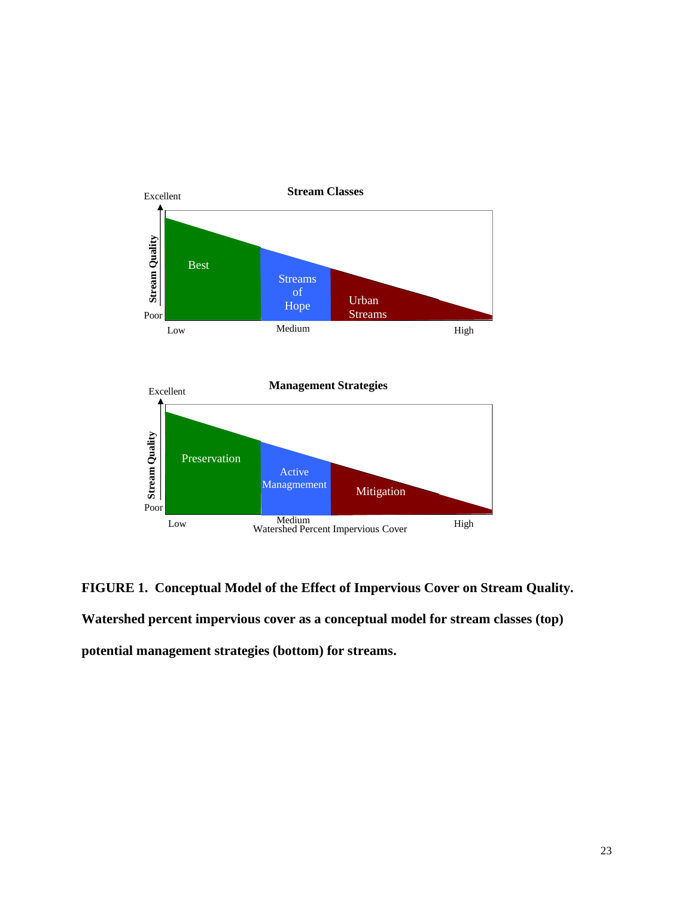



**FIGURE 1. Conceptual Model of the Effect of Impervious Cover on Stream Quality. Watershed percent impervious cover as a conceptual model for stream classes (top) potential management strategies (bottom) for streams.**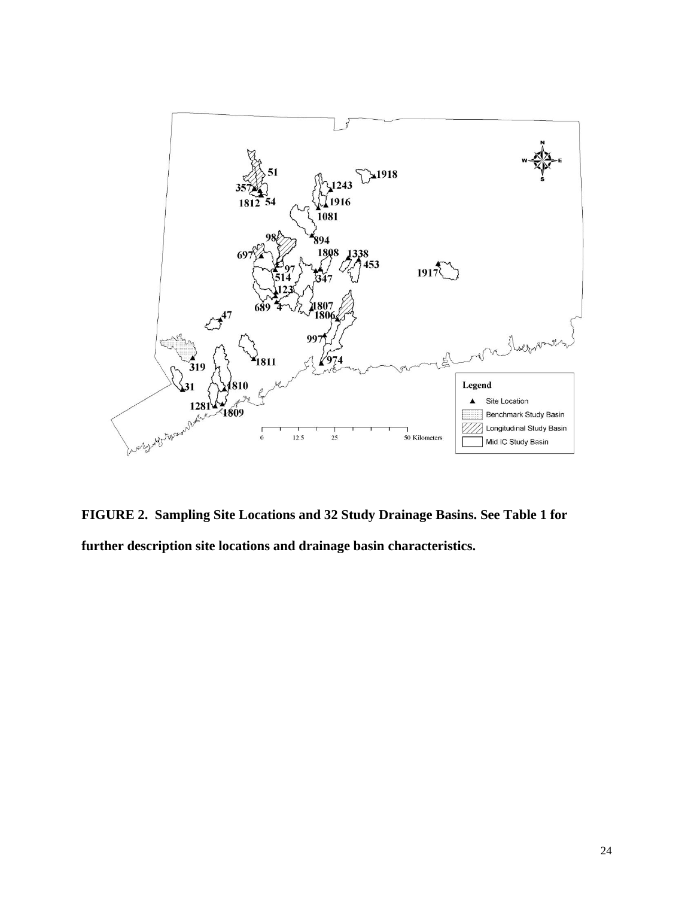

**FIGURE 2. Sampling Site Locations and 32 Study Drainage Basins. See Table 1 for further description site locations and drainage basin characteristics.**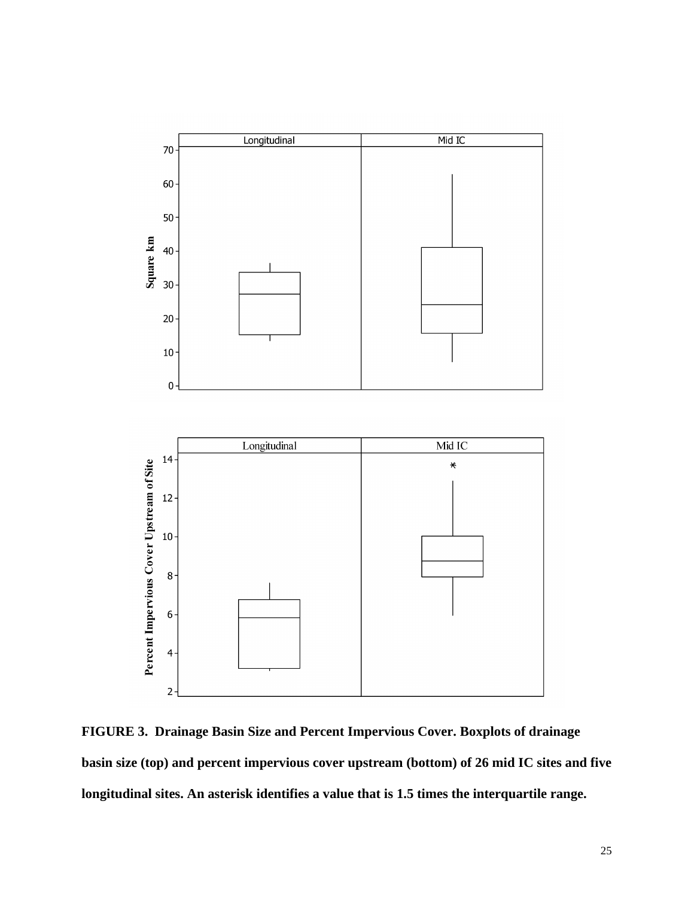

**FIGURE 3. Drainage Basin Size and Percent Impervious Cover. Boxplots of drainage basin size (top) and percent impervious cover upstream (bottom) of 26 mid IC sites and five longitudinal sites. An asterisk identifies a value that is 1.5 times the interquartile range.**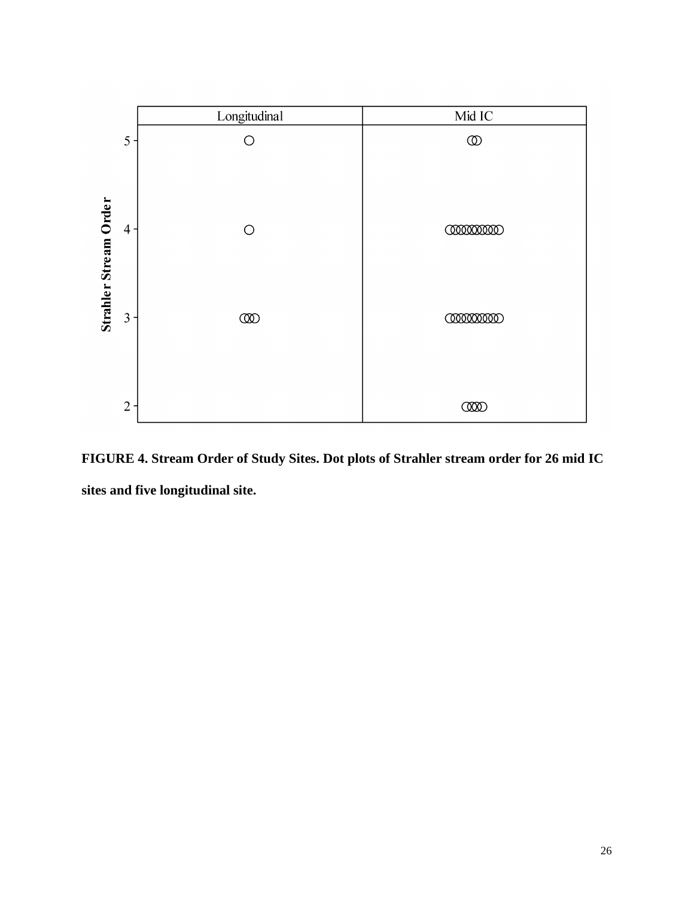

**FIGURE 4. Stream Order of Study Sites. Dot plots of Strahler stream order for 26 mid IC sites and five longitudinal site.**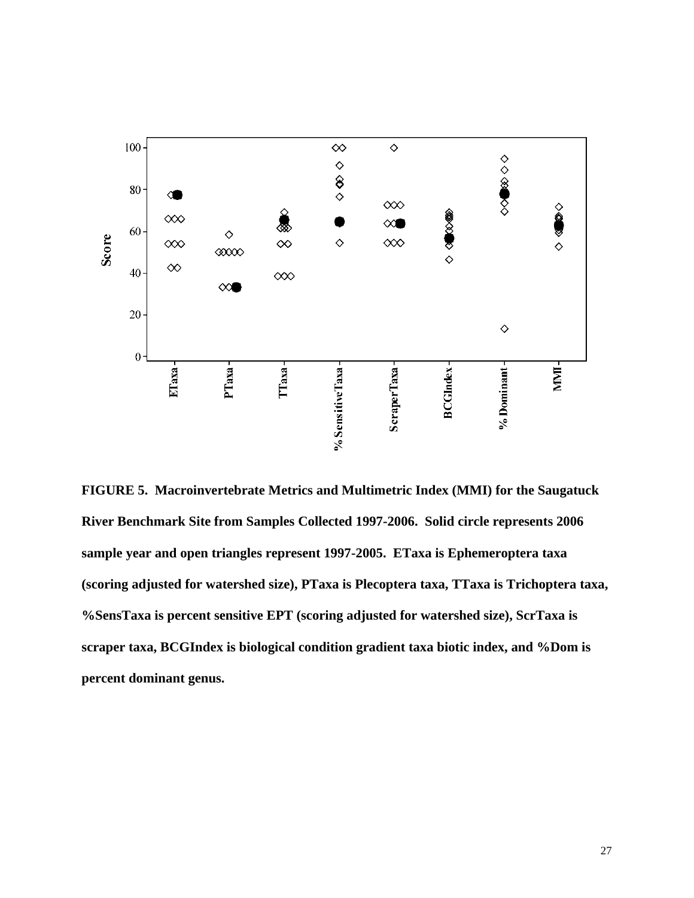

**FIGURE 5. Macroinvertebrate Metrics and Multimetric Index (MMI) for the Saugatuck River Benchmark Site from Samples Collected 1997-2006. Solid circle represents 2006 sample year and open triangles represent 1997-2005. ETaxa is Ephemeroptera taxa (scoring adjusted for watershed size), PTaxa is Plecoptera taxa, TTaxa is Trichoptera taxa, %SensTaxa is percent sensitive EPT (scoring adjusted for watershed size), ScrTaxa is scraper taxa, BCGIndex is biological condition gradient taxa biotic index, and %Dom is percent dominant genus.**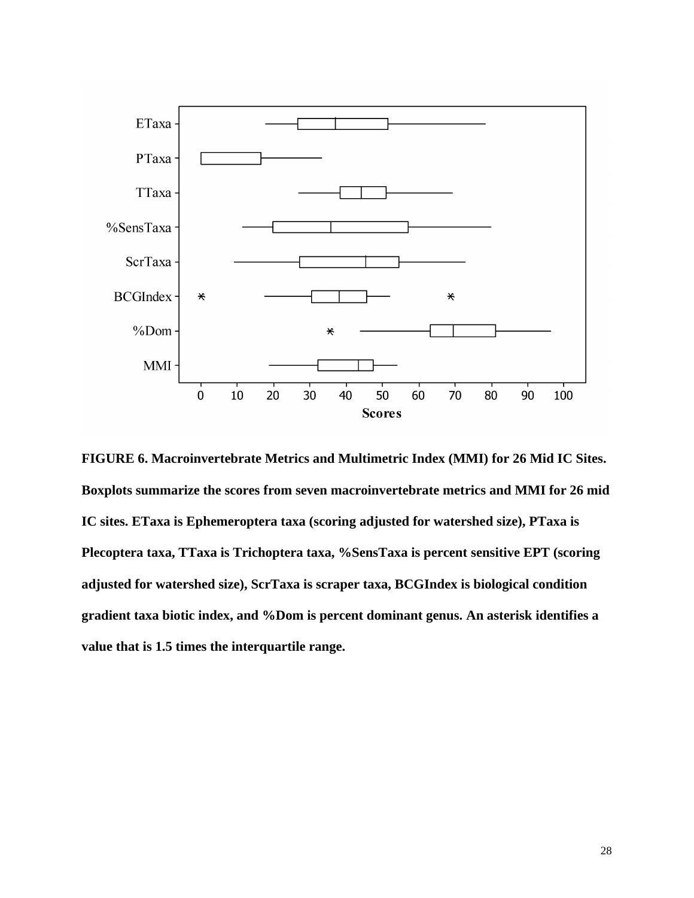

**FIGURE 6. Macroinvertebrate Metrics and Multimetric Index (MMI) for 26 Mid IC Sites. Boxplots summarize the scores from seven macroinvertebrate metrics and MMI for 26 mid IC sites. ETaxa is Ephemeroptera taxa (scoring adjusted for watershed size), PTaxa is Plecoptera taxa, TTaxa is Trichoptera taxa, %SensTaxa is percent sensitive EPT (scoring adjusted for watershed size), ScrTaxa is scraper taxa, BCGIndex is biological condition gradient taxa biotic index, and %Dom is percent dominant genus. An asterisk identifies a value that is 1.5 times the interquartile range.**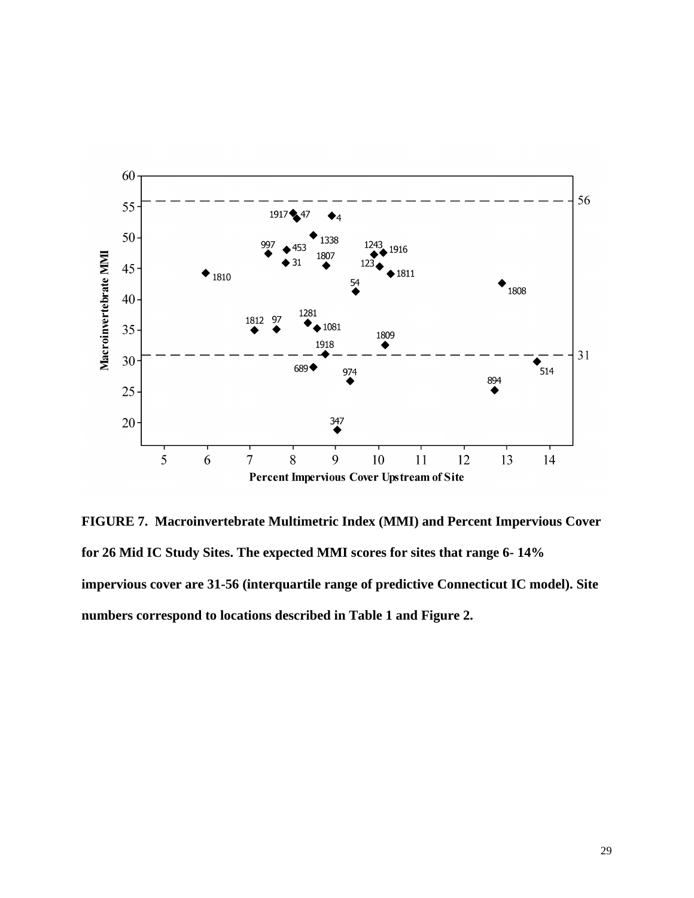

**FIGURE 7. Macroinvertebrate Multimetric Index (MMI) and Percent Impervious Cover for 26 Mid IC Study Sites. The expected MMI scores for sites that range 6- 14% impervious cover are 31-56 (interquartile range of predictive Connecticut IC model). Site numbers correspond to locations described in Table 1 and Figure 2.**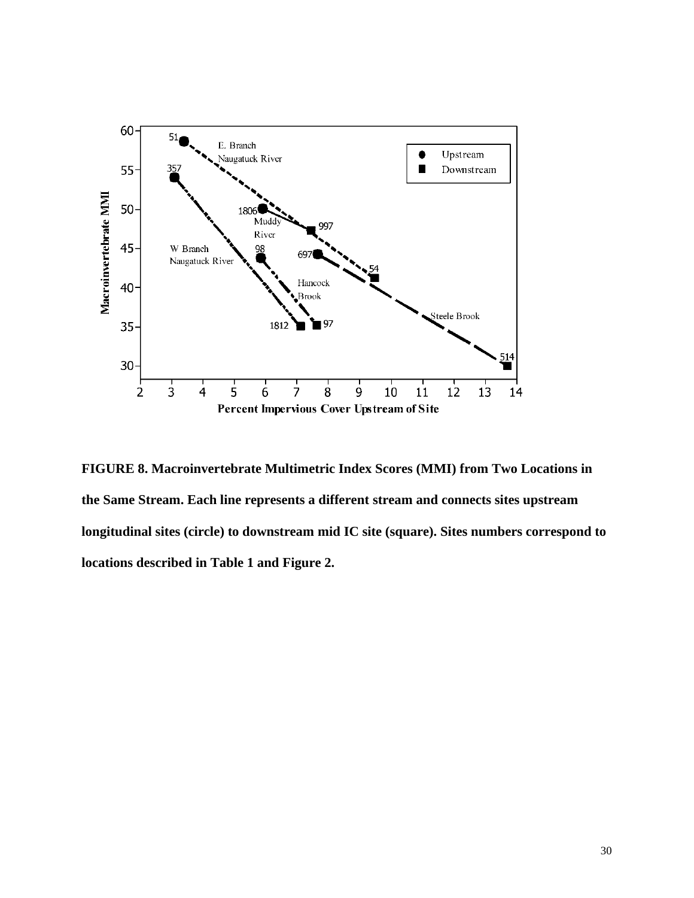

**FIGURE 8. Macroinvertebrate Multimetric Index Scores (MMI) from Two Locations in the Same Stream. Each line represents a different stream and connects sites upstream longitudinal sites (circle) to downstream mid IC site (square). Sites numbers correspond to locations described in Table 1 and Figure 2.**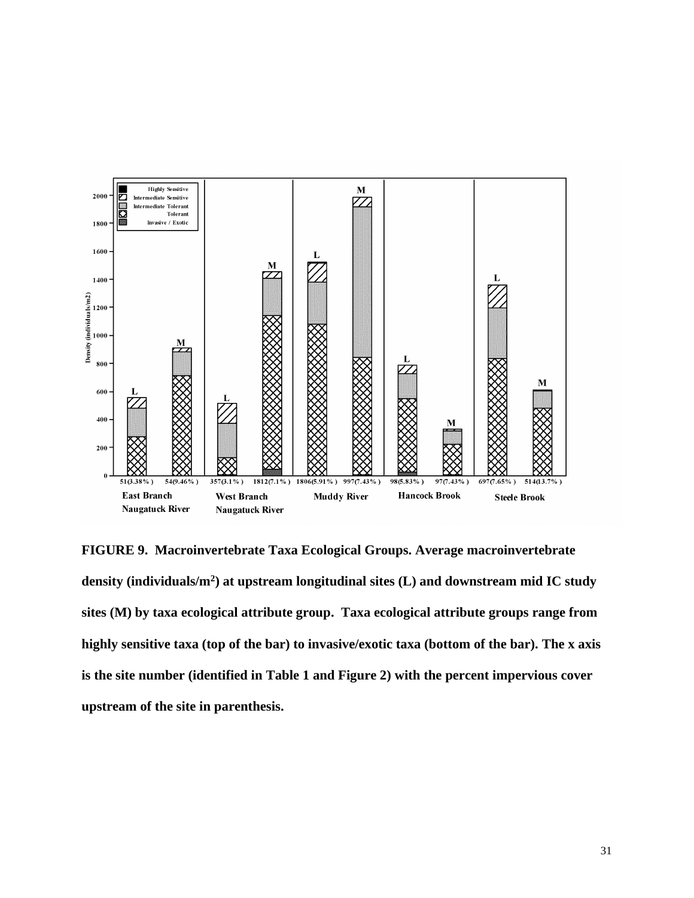

**FIGURE 9. Macroinvertebrate Taxa Ecological Groups. Average macroinvertebrate density (individuals/m<sup>2</sup> ) at upstream longitudinal sites (L) and downstream mid IC study sites (M) by taxa ecological attribute group. Taxa ecological attribute groups range from highly sensitive taxa (top of the bar) to invasive/exotic taxa (bottom of the bar). The x axis is the site number (identified in Table 1 and Figure 2) with the percent impervious cover upstream of the site in parenthesis.**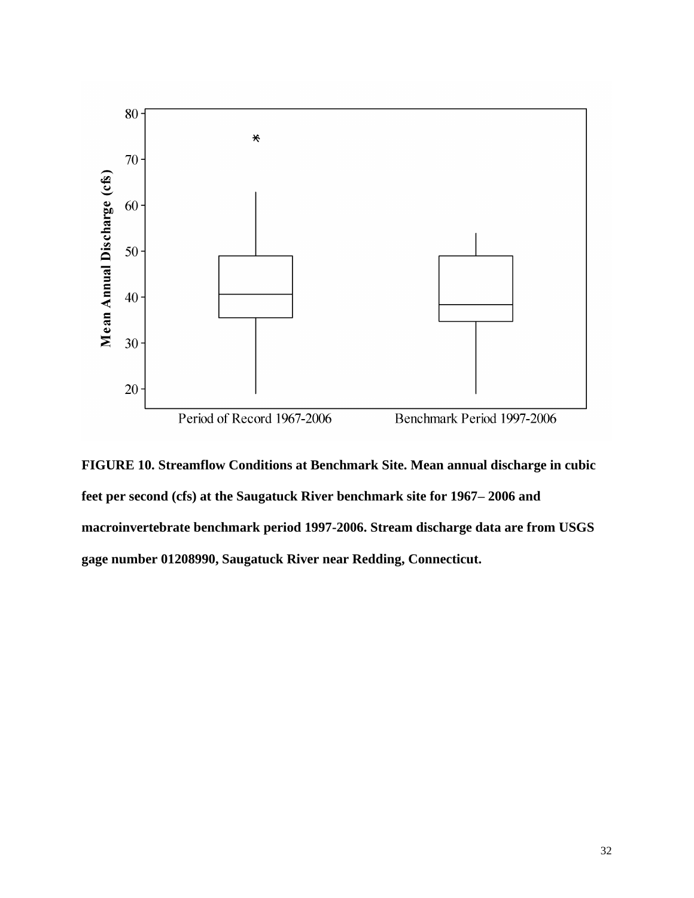

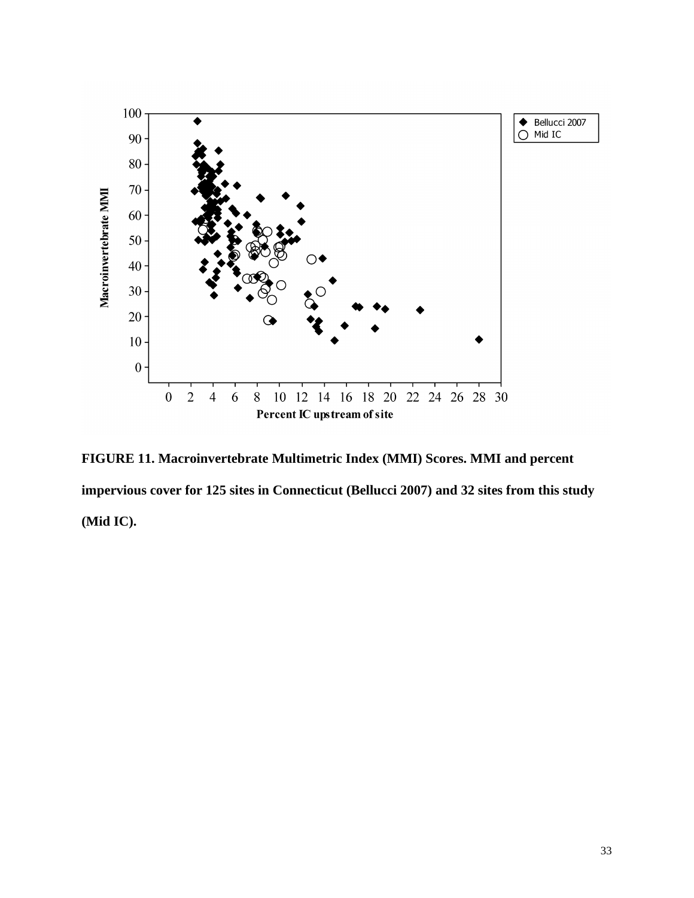

**FIGURE 11. Macroinvertebrate Multimetric Index (MMI) Scores. MMI and percent impervious cover for 125 sites in Connecticut (Bellucci 2007) and 32 sites from this study (Mid IC).**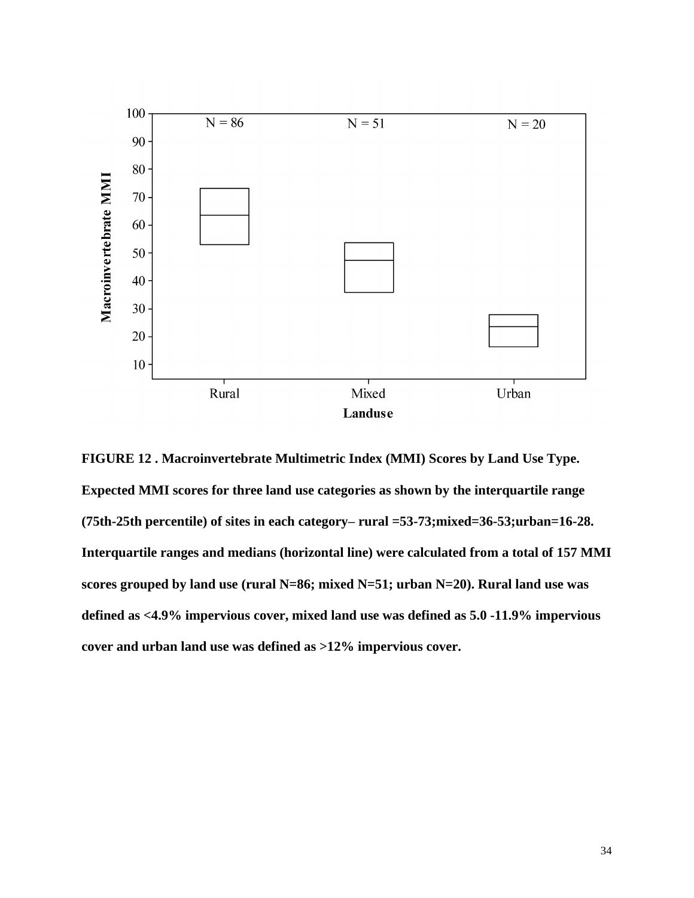

**FIGURE 12 . Macroinvertebrate Multimetric Index (MMI) Scores by Land Use Type. Expected MMI scores for three land use categories as shown by the interquartile range (75th-25th percentile) of sites in each category– rural =53-73;mixed=36-53;urban=16-28. Interquartile ranges and medians (horizontal line) were calculated from a total of 157 MMI scores grouped by land use (rural N=86; mixed N=51; urban N=20). Rural land use was defined as <4.9% impervious cover, mixed land use was defined as 5.0 -11.9% impervious cover and urban land use was defined as >12% impervious cover.**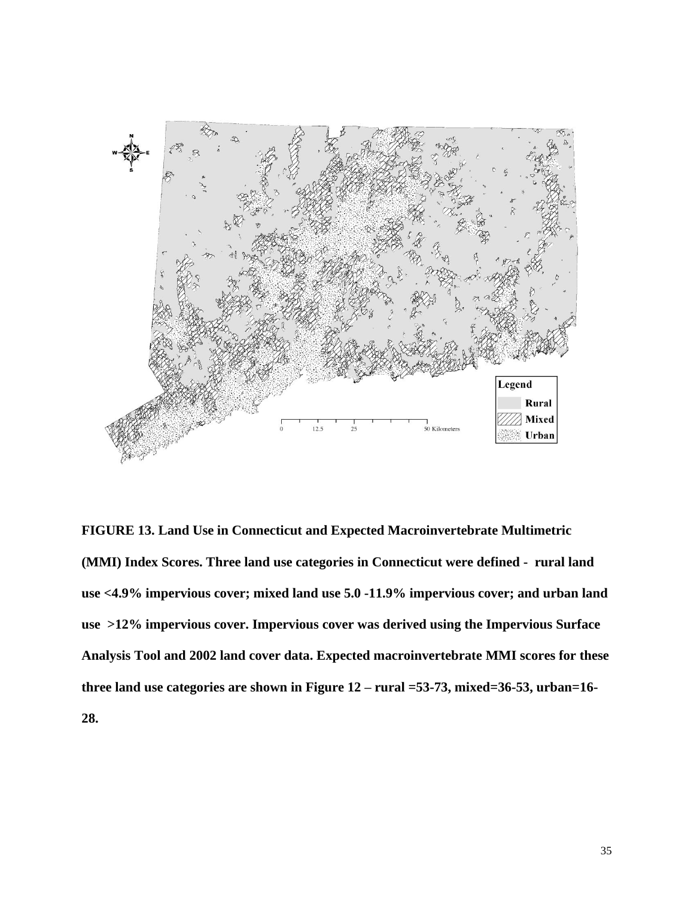

**FIGURE 13. Land Use in Connecticut and Expected Macroinvertebrate Multimetric (MMI) Index Scores. Three land use categories in Connecticut were defined - rural land use <4.9% impervious cover; mixed land use 5.0 -11.9% impervious cover; and urban land use >12% impervious cover. Impervious cover was derived using the Impervious Surface Analysis Tool and 2002 land cover data. Expected macroinvertebrate MMI scores for these three land use categories are shown in Figure 12 – rural =53-73, mixed=36-53, urban=16- 28.**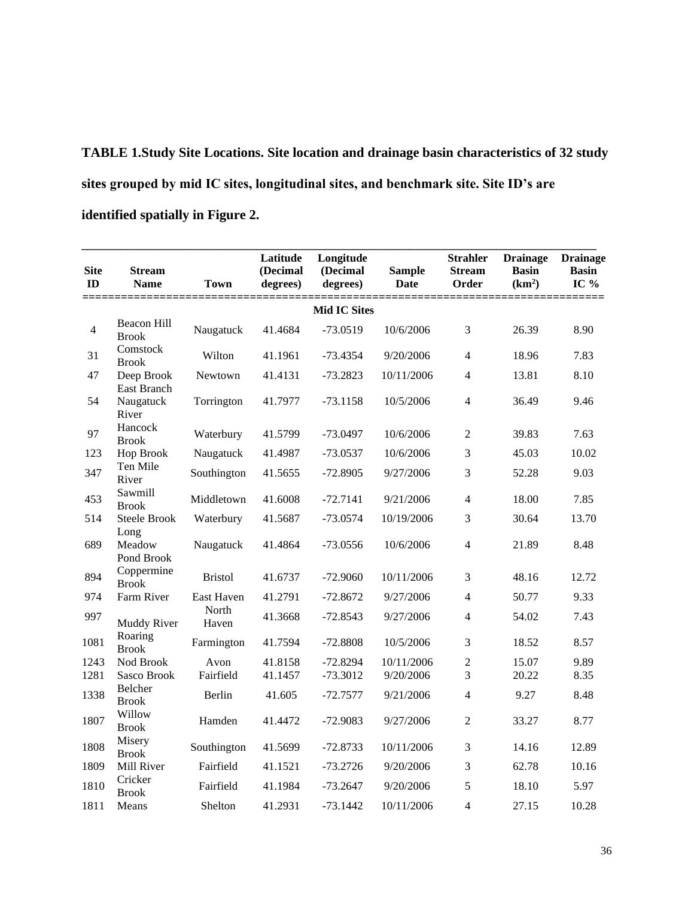**TABLE 1.Study Site Locations. Site location and drainage basin characteristics of 32 study sites grouped by mid IC sites, longitudinal sites, and benchmark site. Site ID's are identified spatially in Figure 2.**

|                   |                                  |                   | Latitude             | Longitude            |                            | <b>Strahler</b>        | <b>Drainage</b>                               | <b>Drainage</b>        |
|-------------------|----------------------------------|-------------------|----------------------|----------------------|----------------------------|------------------------|-----------------------------------------------|------------------------|
| <b>Site</b><br>ID | <b>Stream</b><br><b>Name</b>     | <b>Town</b>       | (Decimal<br>degrees) | (Decimal<br>degrees) | <b>Sample</b><br>Date      | <b>Stream</b><br>Order | <b>Basin</b><br>(km <sup>2</sup> )<br>_______ | <b>Basin</b><br>IC $%$ |
|                   | ==================               | ========          |                      | <b>Mid IC Sites</b>  | ========================== |                        |                                               | ======                 |
| $\overline{4}$    | Beacon Hill<br><b>Brook</b>      | Naugatuck         | 41.4684              | $-73.0519$           | 10/6/2006                  | 3                      | 26.39                                         | 8.90                   |
| 31                | Comstock<br><b>Brook</b>         | Wilton            | 41.1961              | $-73.4354$           | 9/20/2006                  | $\overline{4}$         | 18.96                                         | 7.83                   |
| 47                | Deep Brook<br><b>East Branch</b> | Newtown           | 41.4131              | $-73.2823$           | 10/11/2006                 | $\overline{4}$         | 13.81                                         | 8.10                   |
| 54                | Naugatuck<br>River               | Torrington        | 41.7977              | $-73.1158$           | 10/5/2006                  | $\overline{4}$         | 36.49                                         | 9.46                   |
| 97                | Hancock<br><b>Brook</b>          | Waterbury         | 41.5799              | $-73.0497$           | 10/6/2006                  | $\overline{2}$         | 39.83                                         | 7.63                   |
| 123               | Hop Brook                        | Naugatuck         | 41.4987              | $-73.0537$           | 10/6/2006                  | 3                      | 45.03                                         | 10.02                  |
| 347               | Ten Mile<br>River                | Southington       | 41.5655              | $-72.8905$           | 9/27/2006                  | 3                      | 52.28                                         | 9.03                   |
| 453               | Sawmill<br><b>Brook</b>          | Middletown        | 41.6008              | $-72.7141$           | 9/21/2006                  | $\overline{4}$         | 18.00                                         | 7.85                   |
| 514               | <b>Steele Brook</b>              | Waterbury         | 41.5687              | $-73.0574$           | 10/19/2006                 | 3                      | 30.64                                         | 13.70                  |
| 689               | Long<br>Meadow<br>Pond Brook     | Naugatuck         | 41.4864              | $-73.0556$           | 10/6/2006                  | $\overline{4}$         | 21.89                                         | 8.48                   |
| 894               | Coppermine<br><b>Brook</b>       | <b>Bristol</b>    | 41.6737              | $-72.9060$           | 10/11/2006                 | 3                      | 48.16                                         | 12.72                  |
| 974               | Farm River                       | <b>East Haven</b> | 41.2791              | $-72.8672$           | 9/27/2006                  | $\overline{4}$         | 50.77                                         | 9.33                   |
| 997               | Muddy River                      | North<br>Haven    | 41.3668              | $-72.8543$           | 9/27/2006                  | $\overline{4}$         | 54.02                                         | 7.43                   |
| 1081              | Roaring<br><b>Brook</b>          | Farmington        | 41.7594              | $-72.8808$           | 10/5/2006                  | 3                      | 18.52                                         | 8.57                   |
| 1243              | Nod Brook                        | Avon              | 41.8158              | $-72.8294$           | 10/11/2006                 | $\overline{2}$         | 15.07                                         | 9.89                   |
| 1281              | Sasco Brook                      | Fairfield         | 41.1457              | $-73.3012$           | 9/20/2006                  | 3                      | 20.22                                         | 8.35                   |
| 1338              | Belcher<br><b>Brook</b>          | Berlin            | 41.605               | $-72.7577$           | 9/21/2006                  | 4                      | 9.27                                          | 8.48                   |
| 1807              | Willow<br><b>Brook</b>           | Hamden            | 41.4472              | $-72.9083$           | 9/27/2006                  | $\overline{2}$         | 33.27                                         | 8.77                   |
| 1808              | Misery<br><b>Brook</b>           | Southington       | 41.5699              | $-72.8733$           | 10/11/2006                 | 3                      | 14.16                                         | 12.89                  |
| 1809              | Mill River                       | Fairfield         | 41.1521              | $-73.2726$           | 9/20/2006                  | 3                      | 62.78                                         | 10.16                  |
| 1810              | Cricker<br><b>Brook</b>          | Fairfield         | 41.1984              | $-73.2647$           | 9/20/2006                  | 5                      | 18.10                                         | 5.97                   |
| 1811              | Means                            | Shelton           | 41.2931              | $-73.1442$           | 10/11/2006                 | $\overline{4}$         | 27.15                                         | 10.28                  |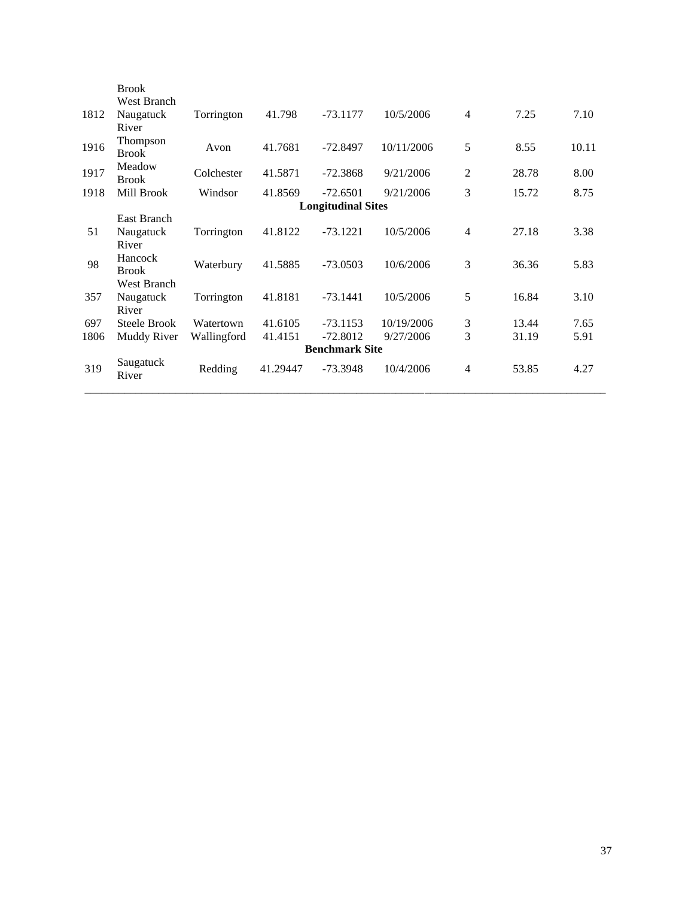|      | <b>Brook</b>       |             |          |                           |            |                |       |       |
|------|--------------------|-------------|----------|---------------------------|------------|----------------|-------|-------|
|      | <b>West Branch</b> |             |          |                           |            |                |       |       |
| 1812 | Naugatuck          | Torrington  | 41.798   | $-73.1177$                | 10/5/2006  | $\overline{4}$ | 7.25  | 7.10  |
|      | River              |             |          |                           |            |                |       |       |
| 1916 | Thompson           | Avon        | 41.7681  | -72.8497                  | 10/11/2006 | 5              | 8.55  | 10.11 |
|      | <b>Brook</b>       |             |          |                           |            |                |       |       |
| 1917 | Meadow             | Colchester  | 41.5871  | $-72.3868$                | 9/21/2006  | $\overline{2}$ | 28.78 | 8.00  |
|      | <b>Brook</b>       |             |          |                           |            |                |       |       |
| 1918 | Mill Brook         | Windsor     | 41.8569  | $-72.6501$                | 9/21/2006  | 3              | 15.72 | 8.75  |
|      |                    |             |          | <b>Longitudinal Sites</b> |            |                |       |       |
|      | East Branch        |             |          |                           |            |                |       |       |
| 51   | Naugatuck          | Torrington  | 41.8122  | $-73.1221$                | 10/5/2006  | $\overline{4}$ | 27.18 | 3.38  |
|      | River              |             |          |                           |            |                |       |       |
| 98   | Hancock            | Waterbury   | 41.5885  | $-73.0503$                | 10/6/2006  | 3              | 36.36 | 5.83  |
|      | <b>Brook</b>       |             |          |                           |            |                |       |       |
|      | <b>West Branch</b> |             |          |                           |            |                |       |       |
| 357  | Naugatuck          | Torrington  | 41.8181  | $-73.1441$                | 10/5/2006  | 5              | 16.84 | 3.10  |
|      | River              |             |          |                           |            |                |       |       |
| 697  | Steele Brook       | Watertown   | 41.6105  | $-73.1153$                | 10/19/2006 | 3              | 13.44 | 7.65  |
| 1806 | Muddy River        | Wallingford | 41.4151  | $-72.8012$                | 9/27/2006  | 3              | 31.19 | 5.91  |
|      |                    |             |          | <b>Benchmark Site</b>     |            |                |       |       |
| 319  | Saugatuck          | Redding     | 41.29447 | $-73.3948$                | 10/4/2006  | 4              | 53.85 | 4.27  |
|      | River              |             |          |                           |            |                |       |       |
|      |                    |             |          |                           |            |                |       |       |